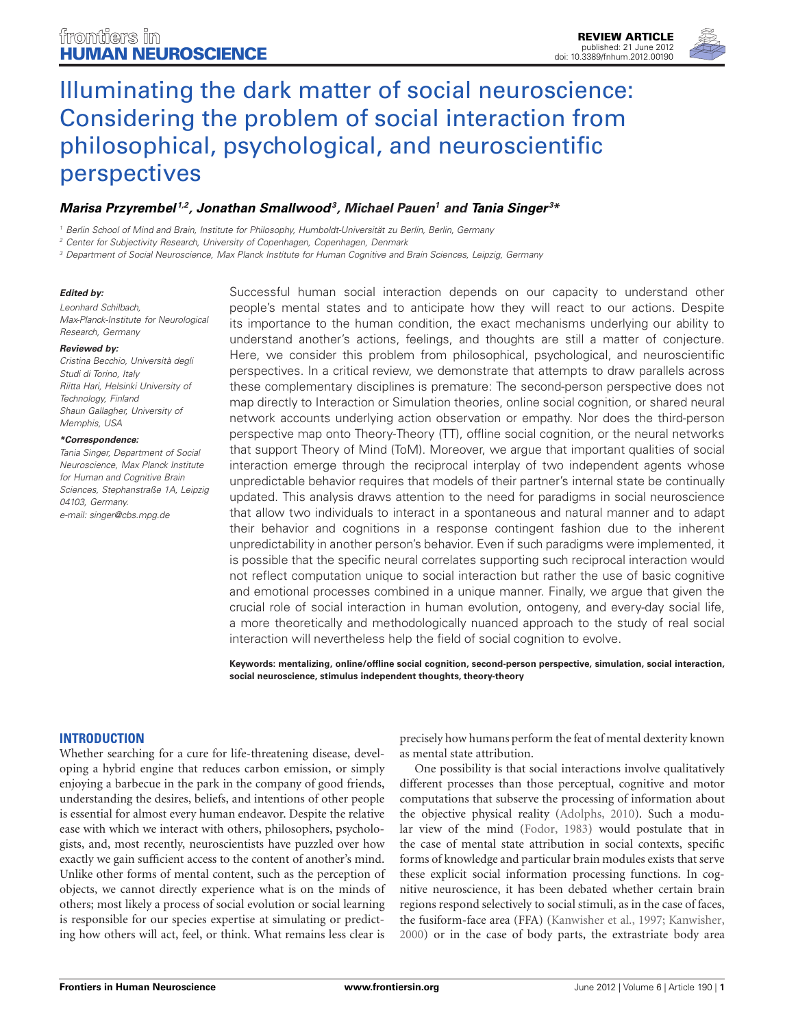

# *[Marisa Przyrembel](http://www.frontiersin.org/Community/WhosWhoActivity.aspx?sname=MarisaPrzyrembel&UID=40898) 1,2, [Jonathan Smallwood3](http://www.frontiersin.org/Community/WhosWhoActivity.aspx?sname=JonathanSmallwood&UID=27523), Michael Pauen1 and [Tania Singer](http://www.frontiersin.org/Community/WhosWhoActivity.aspx?sname=TaniaSinger_1&UID=49458) <sup>3</sup> \**

*<sup>1</sup> Berlin School of Mind and Brain, Institute for Philosophy, Humboldt-Universität zu Berlin, Berlin, Germany*

*<sup>2</sup> Center for Subjectivity Research, University of Copenhagen, Copenhagen, Denmark*

*<sup>3</sup> Department of Social Neuroscience, Max Planck Institute for Human Cognitive and Brain Sciences, Leipzig, Germany*

#### *Edited by:*

*Leonhard Schilbach, Max-Planck-Institute for Neurological Research, Germany*

#### *Reviewed by:*

*Cristina Becchio, Università degli Studi di Torino, Italy Riitta Hari, Helsinki University of Technology, Finland Shaun Gallagher, University of Memphis, USA*

#### *\*Correspondence:*

*Tania Singer, Department of Social Neuroscience, Max Planck Institute for Human and Cognitive Brain Sciences, Stephanstraße 1A, Leipzig 04103, Germany. e-mail: singer@cbs.mpg.de*

Successful human social interaction depends on our capacity to understand other people's mental states and to anticipate how they will react to our actions. Despite its importance to the human condition, the exact mechanisms underlying our ability to understand another's actions, feelings, and thoughts are still a matter of conjecture. Here, we consider this problem from philosophical, psychological, and neuroscientific perspectives. In a critical review, we demonstrate that attempts to draw parallels across these complementary disciplines is premature: The second-person perspective does not map directly to Interaction or Simulation theories, online social cognition, or shared neural network accounts underlying action observation or empathy. Nor does the third-person perspective map onto Theory-Theory (TT), offline social cognition, or the neural networks that support Theory of Mind (ToM). Moreover, we argue that important qualities of social interaction emerge through the reciprocal interplay of two independent agents whose unpredictable behavior requires that models of their partner's internal state be continually updated. This analysis draws attention to the need for paradigms in social neuroscience that allow two individuals to interact in a spontaneous and natural manner and to adapt their behavior and cognitions in a response contingent fashion due to the inherent unpredictability in another person's behavior. Even if such paradigms were implemented, it is possible that the specific neural correlates supporting such reciprocal interaction would not reflect computation unique to social interaction but rather the use of basic cognitive and emotional processes combined in a unique manner. Finally, we argue that given the crucial role of social interaction in human evolution, ontogeny, and every-day social life, a more theoretically and methodologically nuanced approach to the study of real social interaction will nevertheless help the field of social cognition to evolve.

**Keywords: mentalizing, online/offline social cognition, second-person perspective, simulation, social interaction, social neuroscience, stimulus independent thoughts, theory-theory**

#### **INTRODUCTION**

Whether searching for a cure for life-threatening disease, developing a hybrid engine that reduces carbon emission, or simply enjoying a barbecue in the park in the company of good friends, understanding the desires, beliefs, and intentions of other people is essential for almost every human endeavor. Despite the relative ease with which we interact with others, philosophers, psychologists, and, most recently, neuroscientists have puzzled over how exactly we gain sufficient access to the content of another's mind. Unlike other forms of mental content, such as the perception of objects, we cannot directly experience what is on the minds of others; most likely a process of social evolution or social learning is responsible for our species expertise at simulating or predicting how others will act, feel, or think. What remains less clear is

precisely how humans perform the feat of mental dexterity known as mental state attribution.

One possibility is that social interactions involve qualitatively different processes than those perceptual, cognitive and motor computations that subserve the processing of information about the objective physical reality [\(Adolphs](#page-11-0), [2010](#page-11-0)). Such a modular view of the mind [\(Fodor](#page-12-0), [1983](#page-12-0)) would postulate that in the case of mental state attribution in social contexts, specific forms of knowledge and particular brain modules exists that serve these explicit social information processing functions. In cognitive neuroscience, it has been debated whether certain brain regions respond selectively to social stimuli, as in the case of faces, the fusiform-face area (FFA) [\(Kanwisher et al.](#page-12-1), [1997](#page-12-1); [Kanwisher,](#page-12-2) [2000](#page-12-2)) or in the case of body parts, the extrastriate body area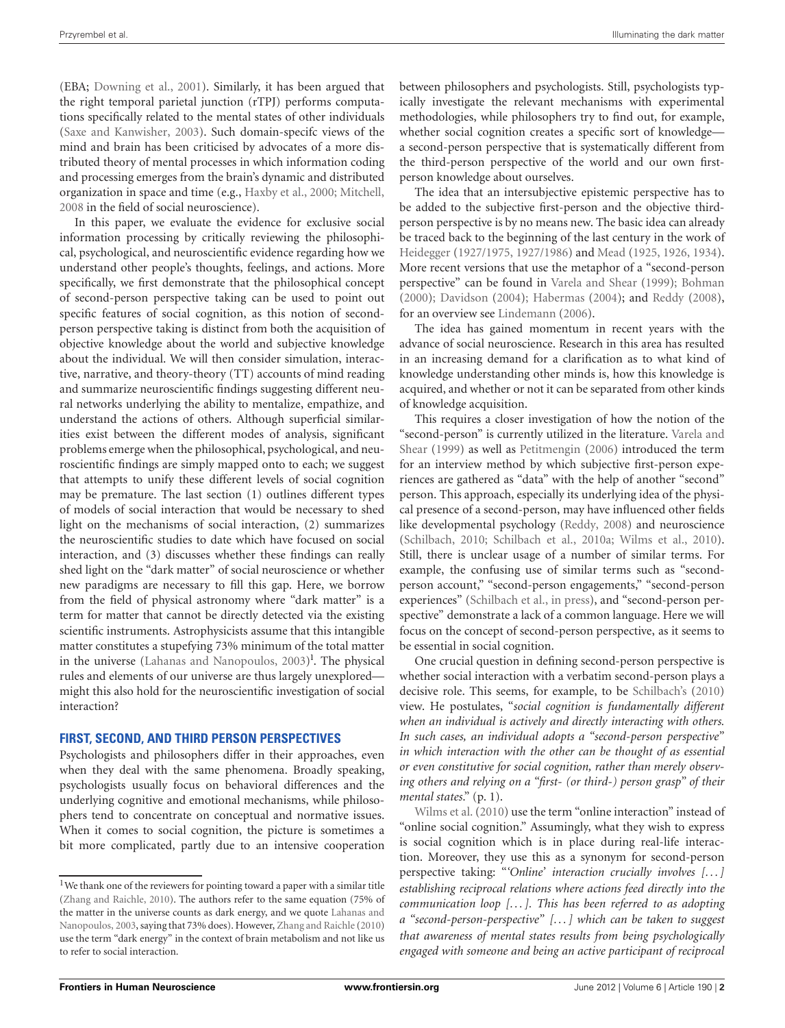(EBA; [Downing et al.](#page-12-3), [2001\)](#page-12-3). Similarly, it has been argued that the right temporal parietal junction (rTPJ) performs computations specifically related to the mental states of other individuals [\(Saxe and Kanwisher, 2003](#page-13-0)). Such domain-specifc views of the mind and brain has been criticised by advocates of a more distributed theory of mental processes in which information coding and processing emerges from the brain's dynamic and distributed organization in space and time (e.g., [Haxby et al., 2000](#page-12-4); [Mitchell](#page-12-5), [2008](#page-12-5) in the field of social neuroscience).

In this paper, we evaluate the evidence for exclusive social information processing by critically reviewing the philosophical, psychological, and neuroscientific evidence regarding how we understand other people's thoughts, feelings, and actions. More specifically, we first demonstrate that the philosophical concept of second-person perspective taking can be used to point out specific features of social cognition, as this notion of secondperson perspective taking is distinct from both the acquisition of objective knowledge about the world and subjective knowledge about the individual. We will then consider simulation, interactive, narrative, and theory-theory (TT) accounts of mind reading and summarize neuroscientific findings suggesting different neural networks underlying the ability to mentalize, empathize, and understand the actions of others. Although superficial similarities exist between the different modes of analysis, significant problems emerge when the philosophical, psychological, and neuroscientific findings are simply mapped onto to each; we suggest that attempts to unify these different levels of social cognition may be premature. The last section (1) outlines different types of models of social interaction that would be necessary to shed light on the mechanisms of social interaction, (2) summarizes the neuroscientific studies to date which have focused on social interaction, and (3) discusses whether these findings can really shed light on the "dark matter" of social neuroscience or whether new paradigms are necessary to fill this gap. Here, we borrow from the field of physical astronomy where "dark matter" is a term for matter that cannot be directly detected via the existing scientific instruments. Astrophysicists assume that this intangible matter constitutes a stupefying 73% minimum of the total matter in the universe [\(Lahanas and Nanopoulos](#page-12-6), [2003](#page-12-6)[\)](#page-1-0)<sup>1</sup>. The physical rules and elements of our universe are thus largely unexplored might this also hold for the neuroscientific investigation of social interaction?

#### **FIRST, SECOND, AND THIRD PERSON PERSPECTIVES**

Psychologists and philosophers differ in their approaches, even when they deal with the same phenomena. Broadly speaking, psychologists usually focus on behavioral differences and the underlying cognitive and emotional mechanisms, while philosophers tend to concentrate on conceptual and normative issues. When it comes to social cognition, the picture is sometimes a bit more complicated, partly due to an intensive cooperation between philosophers and psychologists. Still, psychologists typically investigate the relevant mechanisms with experimental methodologies, while philosophers try to find out, for example, whether social cognition creates a specific sort of knowledge a second-person perspective that is systematically different from the third-person perspective of the world and our own firstperson knowledge about ourselves.

The idea that an intersubjective epistemic perspective has to be added to the subjective first-person and the objective thirdperson perspective is by no means new. The basic idea can already be traced back to the beginning of the last century in the work of [Heidegger](#page-12-7) [\(1927/1975,](#page-12-7) [1927/1986\)](#page-12-8) and [Mead](#page-12-9) [\(1925,](#page-12-9) [1926](#page-12-10), [1934\)](#page-12-11). More recent versions that use the metaphor of a "second-person perspective" can be found in [Varela and Shear](#page-13-1) [\(1999](#page-13-1)); [Bohman](#page-11-1) [\(2000\)](#page-11-1); [Davidson](#page-11-2) [\(2004](#page-11-2)); [Habermas](#page-12-12) [\(2004](#page-12-12)); and [Reddy](#page-13-2) [\(2008\)](#page-13-2), for an overview see [Lindemann](#page-12-13) [\(2006\)](#page-12-13).

The idea has gained momentum in recent years with the advance of social neuroscience. Research in this area has resulted in an increasing demand for a clarification as to what kind of knowledge understanding other minds is, how this knowledge is acquired, and whether or not it can be separated from other kinds of knowledge acquisition.

This requires a closer investigation of how the notion of the "seco[nd-person" is currently utilized in the literature.](#page-13-1) Varela and Shear [\(1999\)](#page-13-1) as well as [Petitmengin](#page-13-3) [\(2006](#page-13-3)) introduced the term for an interview method by which subjective first-person experiences are gathered as "data" with the help of another "second" person. This approach, especially its underlying idea of the physical presence of a second-person, may have influenced other fields like developmental psychology [\(Reddy, 2008\)](#page-13-2) and neuroscience [\(Schilbach, 2010;](#page-13-4) [Schilbach et al., 2010a;](#page-13-5) [Wilms et al.](#page-14-1), [2010\)](#page-14-1). Still, there is unclear usage of a number of similar terms. For example, the confusing use of similar terms such as "secondperson account," "second-person engagements," "second-person experiences" [\(Schilbach et al., in press](#page-13-6)), and "second-person perspective" demonstrate a lack of a common language. Here we will focus on the concept of second-person perspective, as it seems to be essential in social cognition.

<span id="page-1-0"></span>One crucial question in defining second-person perspective is whether social interaction with a verbatim second-person plays a decisive role. This seems, for example, to be [Schilbach's](#page-13-4) [\(2010](#page-13-4)) view. He postulates, "*social cognition is fundamentally different when an individual is actively and directly interacting with others. In such cases, an individual adopts a "second-person perspective" in which interaction with the other can be thought of as essential or even constitutive for social cognition, rather than merely observing others and relying on a "first- (or third-) person grasp" of their [mental](#page-14-1) [states](#page-14-1)*." (p. 1).

Wilms et al. [\(2010](#page-14-1)) use the term "online interaction" instead of "online social cognition." Assumingly, what they wish to express is social cognition which is in place during real-life interaction. Moreover, they use this as a synonym for second-person perspective taking: "*'Online' interaction crucially involves [. . . ] establishing reciprocal relations where actions feed directly into the communication loop [. . . ]. This has been referred to as adopting a "second-person-perspective" [. . . ] which can be taken to suggest that awareness of mental states results from being psychologically engaged with someone and being an active participant of reciprocal*

<sup>&</sup>lt;sup>1</sup>We thank one of the reviewers for pointing toward a paper with a similar title [\(Zhang and Raichle](#page-14-0), [2010\)](#page-14-0). The authors refer to the same equation (75% of the matter i[n the universe counts as dark energy, and we quote](#page-12-6) Lahanas and Nanopoulos, [2003](#page-12-6), saying that 73% does). However, [Zhang and Raichle](#page-14-0) [\(2010\)](#page-14-0) use the term "dark energy" in the context of brain metabolism and not like us to refer to social interaction.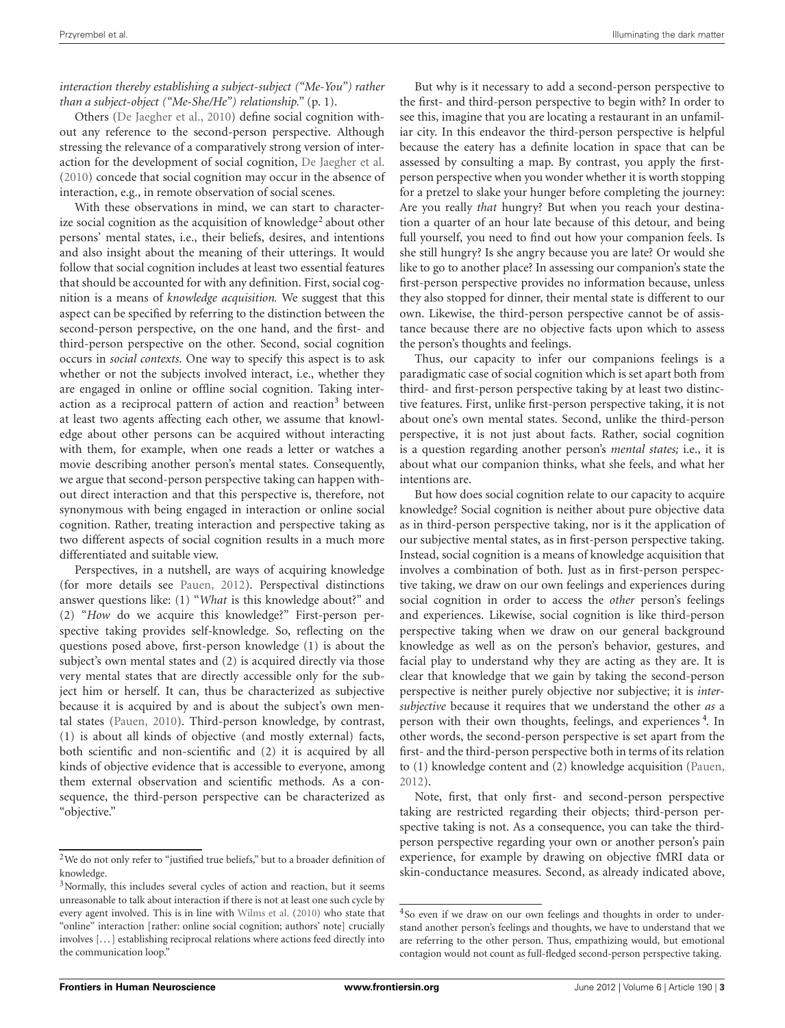*interaction thereby establishing a subject-subject ("Me-You") rather than a subject-object ("Me-She/He") relationship."* (p. 1).

Others [\(De Jaegher et al.](#page-11-3), [2010](#page-11-3)) define social cognition without any reference to the second-person perspective. Although stressing the relevance of a comparatively strong version of interaction for the development of social cognition, [De Jaegher et al.](#page-11-3) [\(2010\)](#page-11-3) concede that social cognition may occur in the absence of interaction, e.g., in remote observation of social scenes.

With these observations in mind, we can start to character-ize social cognition as the acquisition of knowledge<sup>[2](#page-2-0)</sup> about other persons' mental states, i.e., their beliefs, desires, and intentions and also insight about the meaning of their utterings. It would follow that social cognition includes at least two essential features that should be accounted for with any definition. First, social cognition is a means of *knowledge acquisition.* We suggest that this aspect can be specified by referring to the distinction between the second-person perspective, on the one hand, and the first- and third-person perspective on the other. Second, social cognition occurs in *social contexts*. One way to specify this aspect is to ask whether or not the subjects involved interact, i.e., whether they are engaged in online or offline social cognition. Taking inter-action as a reciprocal pattern of action and reaction<sup>[3](#page-2-0)</sup> between at least two agents affecting each other, we assume that knowledge about other persons can be acquired without interacting with them, for example, when one reads a letter or watches a movie describing another person's mental states. Consequently, we argue that second-person perspective taking can happen without direct interaction and that this perspective is, therefore, not synonymous with being engaged in interaction or online social cognition. Rather, treating interaction and perspective taking as two different aspects of social cognition results in a much more differentiated and suitable view.

Perspectives, in a nutshell, are ways of acquiring knowledge (for more details see [Pauen](#page-13-7), [2012\)](#page-13-7). Perspectival distinctions answer questions like: (1) "*What* is this knowledge about?" and (2) "*How* do we acquire this knowledge?" First-person perspective taking provides self-knowledge. So, reflecting on the questions posed above, first-person knowledge (1) is about the subject's own mental states and (2) is acquired directly via those very mental states that are directly accessible only for the subject him or herself. It can, thus be characterized as subjective because it is acquired by and is about the subject's own mental states [\(Pauen, 2010](#page-13-8)). Third-person knowledge, by contrast, (1) is about all kinds of objective (and mostly external) facts, both scientific and non-scientific and (2) it is acquired by all kinds of objective evidence that is accessible to everyone, among them external observation and scientific methods. As a consequence, the third-person perspective can be characterized as "objective."

But why is it necessary to add a second-person perspective to the first- and third-person perspective to begin with? In order to see this, imagine that you are locating a restaurant in an unfamiliar city. In this endeavor the third-person perspective is helpful because the eatery has a definite location in space that can be assessed by consulting a map. By contrast, you apply the firstperson perspective when you wonder whether it is worth stopping for a pretzel to slake your hunger before completing the journey: Are you really *that* hungry? But when you reach your destination a quarter of an hour late because of this detour, and being full yourself, you need to find out how your companion feels. Is she still hungry? Is she angry because you are late? Or would she like to go to another place? In assessing our companion's state the first-person perspective provides no information because, unless they also stopped for dinner, their mental state is different to our own. Likewise, the third-person perspective cannot be of assistance because there are no objective facts upon which to assess the person's thoughts and feelings.

Thus, our capacity to infer our companions feelings is a paradigmatic case of social cognition which is set apart both from third- and first-person perspective taking by at least two distinctive features. First, unlike first-person perspective taking, it is not about one's own mental states. Second, unlike the third-person perspective, it is not just about facts. Rather, social cognition is a question regarding another person's *mental states;* i.e., it is about what our companion thinks, what she feels, and what her intentions are.

But how does social cognition relate to our capacity to acquire knowledge? Social cognition is neither about pure objective data as in third-person perspective taking, nor is it the application of our subjective mental states, as in first-person perspective taking. Instead, social cognition is a means of knowledge acquisition that involves a combination of both. Just as in first-person perspective taking, we draw on our own feelings and experiences during social cognition in order to access the *other* person's feelings and experiences. Likewise, social cognition is like third-person perspective taking when we draw on our general background knowledge as well as on the person's behavior, gestures, and facial play to understand why they are acting as they are. It is clear that knowledge that we gain by taking the second-person perspective is neither purely objective nor subjective; it is *intersubjective* because it requires that we understand the other *as* a person with their own thoughts, feelings, and experiences<sup>[4](#page-2-0)</sup>. In other words, the second-person perspective is set apart from the first- and the third-person perspective both in terms of its relation to (1) knowledge content and (2) knowledge acquisition [\(Pauen,](#page-13-7) [2012](#page-13-7)).

<span id="page-2-0"></span>Note, first, that only first- and second-person perspective taking are restricted regarding their objects; third-person perspective taking is not. As a consequence, you can take the thirdperson perspective regarding your own or another person's pain experience, for example by drawing on objective fMRI data or skin-conductance measures. Second, as already indicated above,

<sup>&</sup>lt;sup>2</sup>We do not only refer to "justified true beliefs," but to a broader definition of knowledge.

<sup>&</sup>lt;sup>3</sup>Normally, this includes several cycles of action and reaction, but it seems unreasonable to talk about interaction if there is not at least one such cycle by every agent involved. This is in line with [Wilms et al.](#page-14-1) [\(2010](#page-14-1)) who state that "online" interaction [rather: online social cognition; authors' note] crucially involves [. . . ] establishing reciprocal relations where actions feed directly into the communication loop."

<sup>&</sup>lt;sup>4</sup>So even if we draw on our own feelings and thoughts in order to understand another person's feelings and thoughts, we have to understand that we are referring to the other person. Thus, empathizing would, but emotional contagion would not count as full-fledged second-person perspective taking.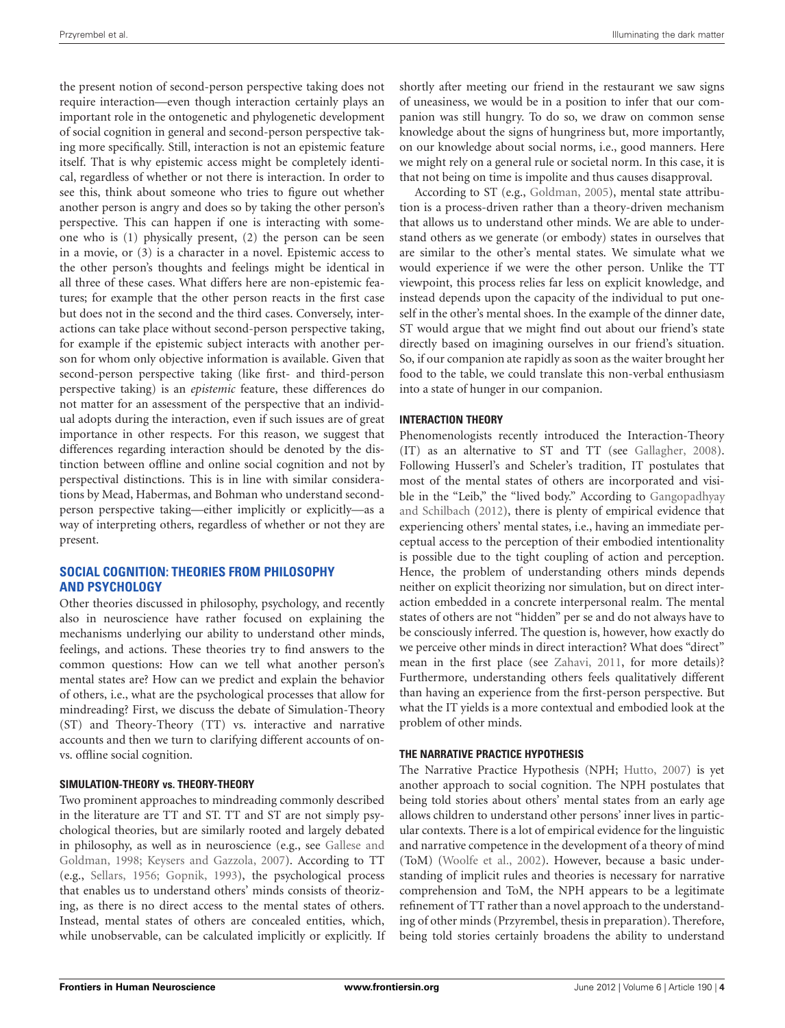the present notion of second-person perspective taking does not require interaction—even though interaction certainly plays an important role in the ontogenetic and phylogenetic development of social cognition in general and second-person perspective taking more specifically. Still, interaction is not an epistemic feature itself. That is why epistemic access might be completely identical, regardless of whether or not there is interaction. In order to see this, think about someone who tries to figure out whether another person is angry and does so by taking the other person's perspective. This can happen if one is interacting with someone who is (1) physically present, (2) the person can be seen in a movie, or (3) is a character in a novel. Epistemic access to the other person's thoughts and feelings might be identical in all three of these cases. What differs here are non-epistemic features; for example that the other person reacts in the first case but does not in the second and the third cases. Conversely, interactions can take place without second-person perspective taking, for example if the epistemic subject interacts with another person for whom only objective information is available. Given that second-person perspective taking (like first- and third-person perspective taking) is an *epistemic* feature, these differences do not matter for an assessment of the perspective that an individual adopts during the interaction, even if such issues are of great importance in other respects. For this reason, we suggest that differences regarding interaction should be denoted by the distinction between offline and online social cognition and not by perspectival distinctions. This is in line with similar considerations by Mead, Habermas, and Bohman who understand secondperson perspective taking—either implicitly or explicitly—as a way of interpreting others, regardless of whether or not they are present.

## **SOCIAL COGNITION: THEORIES FROM PHILOSOPHY AND PSYCHOLOGY**

Other theories discussed in philosophy, psychology, and recently also in neuroscience have rather focused on explaining the mechanisms underlying our ability to understand other minds, feelings, and actions. These theories try to find answers to the common questions: How can we tell what another person's mental states are? How can we predict and explain the behavior of others, i.e., what are the psychological processes that allow for mindreading? First, we discuss the debate of Simulation-Theory (ST) and Theory-Theory (TT) vs. interactive and narrative accounts and then we turn to clarifying different accounts of onvs. offline social cognition.

#### **SIMULATION-THEORY vs. THEORY-THEORY**

Two prominent approaches to mindreading commonly described in the literature are TT and ST. TT and ST are not simply psychological theories, but are similarly rooted and largely debated in philos[ophy,](#page-12-14) [as](#page-12-14) [well](#page-12-14) [as](#page-12-14) [in](#page-12-14) [neuroscience](#page-12-14) [\(e.g.,](#page-12-14) [see](#page-12-14) Gallese and Goldman, [1998;](#page-12-14) [Keysers and Gazzola](#page-12-15), [2007](#page-12-15)). According to TT (e.g., [Sellars](#page-13-9), [1956;](#page-13-9) [Gopnik, 1993](#page-12-16)), the psychological process that enables us to understand others' minds consists of theorizing, as there is no direct access to the mental states of others. Instead, mental states of others are concealed entities, which, while unobservable, can be calculated implicitly or explicitly. If shortly after meeting our friend in the restaurant we saw signs of uneasiness, we would be in a position to infer that our companion was still hungry. To do so, we draw on common sense knowledge about the signs of hungriness but, more importantly, on our knowledge about social norms, i.e., good manners. Here we might rely on a general rule or societal norm. In this case, it is that not being on time is impolite and thus causes disapproval.

According to ST (e.g., [Goldman](#page-12-17), [2005\)](#page-12-17), mental state attribution is a process-driven rather than a theory-driven mechanism that allows us to understand other minds. We are able to understand others as we generate (or embody) states in ourselves that are similar to the other's mental states. We simulate what we would experience if we were the other person. Unlike the TT viewpoint, this process relies far less on explicit knowledge, and instead depends upon the capacity of the individual to put oneself in the other's mental shoes. In the example of the dinner date, ST would argue that we might find out about our friend's state directly based on imagining ourselves in our friend's situation. So, if our companion ate rapidly as soon as the waiter brought her food to the table, we could translate this non-verbal enthusiasm into a state of hunger in our companion.

## **INTERACTION THEORY**

Phenomenologists recently introduced the Interaction-Theory (IT) as an alternative to ST and TT (see [Gallagher](#page-12-18), [2008\)](#page-12-18). Following Husserl's and Scheler's tradition, IT postulates that most of the mental states of others are incorporated and visible in the "Le[ib," the "lived body." According to](#page-12-19) Gangopadhyay and Schilbach [\(2012\)](#page-12-19), there is plenty of empirical evidence that experiencing others' mental states, i.e., having an immediate perceptual access to the perception of their embodied intentionality is possible due to the tight coupling of action and perception. Hence, the problem of understanding others minds depends neither on explicit theorizing nor simulation, but on direct interaction embedded in a concrete interpersonal realm. The mental states of others are not "hidden" per se and do not always have to be consciously inferred. The question is, however, how exactly do we perceive other minds in direct interaction? What does "direct" mean in the first place (see [Zahavi](#page-14-2), [2011](#page-14-2), for more details)? Furthermore, understanding others feels qualitatively different than having an experience from the first-person perspective. But what the IT yields is a more contextual and embodied look at the problem of other minds.

#### **THE NARRATIVE PRACTICE HYPOTHESIS**

The Narrative Practice Hypothesis (NPH; [Hutto, 2007\)](#page-12-20) is yet another approach to social cognition. The NPH postulates that being told stories about others' mental states from an early age allows children to understand other persons' inner lives in particular contexts. There is a lot of empirical evidence for the linguistic and narrative competence in the development of a theory of mind (ToM) [\(Woolfe et al.](#page-14-3), [2002\)](#page-14-3). However, because a basic understanding of implicit rules and theories is necessary for narrative comprehension and ToM, the NPH appears to be a legitimate refinement of TT rather than a novel approach to the understanding of other minds (Przyrembel, thesis in preparation). Therefore, being told stories certainly broadens the ability to understand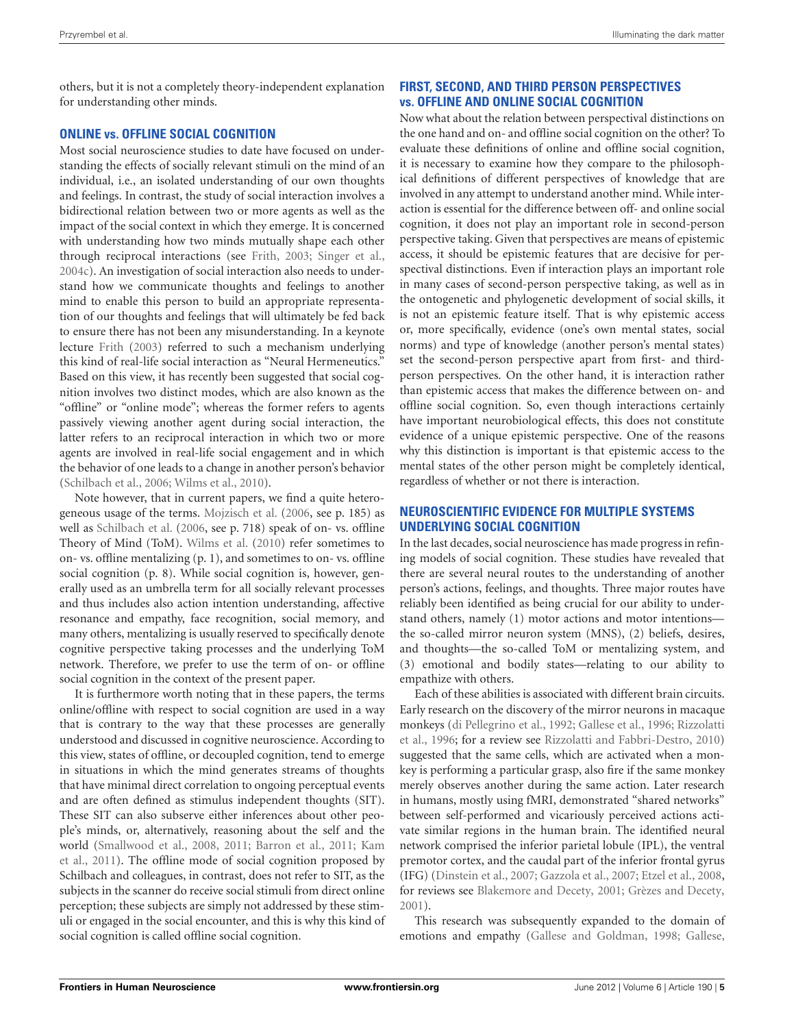others, but it is not a completely theory-independent explanation for understanding other minds.

## **ONLINE vs. OFFLINE SOCIAL COGNITION**

Most social neuroscience studies to date have focused on understanding the effects of socially relevant stimuli on the mind of an individual, i.e., an isolated understanding of our own thoughts and feelings. In contrast, the study of social interaction involves a bidirectional relation between two or more agents as well as the impact of the social context in which they emerge. It is concerned with understanding how two minds mutually shape each other through reciprocal interactions (see [Frith, 2003;](#page-12-21) [Singer et al.,](#page-13-10) [2004c](#page-13-10)). An investigation of social interaction also needs to understand how we communicate thoughts and feelings to another mind to enable this person to build an appropriate representation of our thoughts and feelings that will ultimately be fed back to ensure there has not been any misunderstanding. In a keynote lecture [Frith](#page-12-21) [\(2003\)](#page-12-21) referred to such a mechanism underlying this kind of real-life social interaction as "Neural Hermeneutics." Based on this view, it has recently been suggested that social cognition involves two distinct modes, which are also known as the "offline" or "online mode"; whereas the former refers to agents passively viewing another agent during social interaction, the latter refers to an reciprocal interaction in which two or more agents are involved in real-life social engagement and in which the behavior of one leads to a change in another person's behavior [\(Schilbach et al.](#page-13-11), [2006;](#page-13-11) [Wilms et al.](#page-14-1), [2010](#page-14-1)).

Note however, that in current papers, we find a quite heterogeneous usage of the terms. [Mojzisch et al.](#page-13-12) [\(2006](#page-13-12), see p. 185) as well as [Schilbach et al.](#page-13-11) [\(2006](#page-13-11), see p. 718) speak of on- vs. offline Theory of Mind (ToM). [Wilms et al.](#page-14-1) [\(2010](#page-14-1)) refer sometimes to on- vs. offline mentalizing (p. 1), and sometimes to on- vs. offline social cognition (p. 8). While social cognition is, however, generally used as an umbrella term for all socially relevant processes and thus includes also action intention understanding, affective resonance and empathy, face recognition, social memory, and many others, mentalizing is usually reserved to specifically denote cognitive perspective taking processes and the underlying ToM network. Therefore, we prefer to use the term of on- or offline social cognition in the context of the present paper.

It is furthermore worth noting that in these papers, the terms online/offline with respect to social cognition are used in a way that is contrary to the way that these processes are generally understood and discussed in cognitive neuroscience. According to this view, states of offline, or decoupled cognition, tend to emerge in situations in which the mind generates streams of thoughts that have minimal direct correlation to ongoing perceptual events and are often defined as stimulus independent thoughts (SIT). These SIT can also subserve either inferences about other people's minds, or, alternatively, reasoning about the self and the worl[d](#page-12-22) [\(Smallwood et al.](#page-13-13)[,](#page-12-22) [2008](#page-13-13)[,](#page-12-22) [2011](#page-13-14)[;](#page-12-22) [Barron et al.](#page-11-4)[,](#page-12-22) [2011](#page-11-4)[;](#page-12-22) Kam et al., [2011](#page-12-22)). The offline mode of social cognition proposed by Schilbach and colleagues, in contrast, does not refer to SIT, as the subjects in the scanner do receive social stimuli from direct online perception; these subjects are simply not addressed by these stimuli or engaged in the social encounter, and this is why this kind of social cognition is called offline social cognition.

# **FIRST, SECOND, AND THIRD PERSON PERSPECTIVES vs. OFFLINE AND ONLINE SOCIAL COGNITION**

Now what about the relation between perspectival distinctions on the one hand and on- and offline social cognition on the other? To evaluate these definitions of online and offline social cognition, it is necessary to examine how they compare to the philosophical definitions of different perspectives of knowledge that are involved in any attempt to understand another mind. While interaction is essential for the difference between off- and online social cognition, it does not play an important role in second-person perspective taking. Given that perspectives are means of epistemic access, it should be epistemic features that are decisive for perspectival distinctions. Even if interaction plays an important role in many cases of second-person perspective taking, as well as in the ontogenetic and phylogenetic development of social skills, it is not an epistemic feature itself. That is why epistemic access or, more specifically, evidence (one's own mental states, social norms) and type of knowledge (another person's mental states) set the second-person perspective apart from first- and thirdperson perspectives. On the other hand, it is interaction rather than epistemic access that makes the difference between on- and offline social cognition. So, even though interactions certainly have important neurobiological effects, this does not constitute evidence of a unique epistemic perspective. One of the reasons why this distinction is important is that epistemic access to the mental states of the other person might be completely identical, regardless of whether or not there is interaction.

## **NEUROSCIENTIFIC EVIDENCE FOR MULTIPLE SYSTEMS UNDERLYING SOCIAL COGNITION**

In the last decades, social neuroscience has made progress in refining models of social cognition. These studies have revealed that there are several neural routes to the understanding of another person's actions, feelings, and thoughts. Three major routes have reliably been identified as being crucial for our ability to understand others, namely (1) motor actions and motor intentions the so-called mirror neuron system (MNS), (2) beliefs, desires, and thoughts—the so-called ToM or mentalizing system, and (3) emotional and bodily states—relating to our ability to empathize with others.

Each of these abilities is associated with different brain circuits. Early research on the discovery of the mirror neurons in macaque mon[keys](#page-13-15) [\(di Pellegrino et al.](#page-12-23)[,](#page-13-15) [1992](#page-12-23)[;](#page-13-15) [Gallese et al.](#page-12-24)[,](#page-13-15) [1996](#page-12-24)[;](#page-13-15) Rizzolatti et al., [1996](#page-13-15); for a review see [Rizzolatti and Fabbri-Destro](#page-13-16), [2010](#page-13-16)) suggested that the same cells, which are activated when a monkey is performing a particular grasp, also fire if the same monkey merely observes another during the same action. Later research in humans, mostly using fMRI, demonstrated "shared networks" between self-performed and vicariously perceived actions activate similar regions in the human brain. The identified neural network comprised the inferior parietal lobule (IPL), the ventral premotor cortex, and the caudal part of the inferior frontal gyrus (IFG) [\(Dinstein et al.](#page-12-25), [2007;](#page-12-25) [Gazzola et al., 2007](#page-12-26); [Etzel et al., 2008,](#page-12-27) for reviews see [Blakemore and Decety](#page-11-5), [2001;](#page-11-5) [Grèzes and Decety](#page-12-28), [2001](#page-12-28)).

This research was subsequently expanded to the domain of emotions and empathy [\(Gallese and Goldman](#page-12-14), [1998;](#page-12-14) [Gallese,](#page-12-29)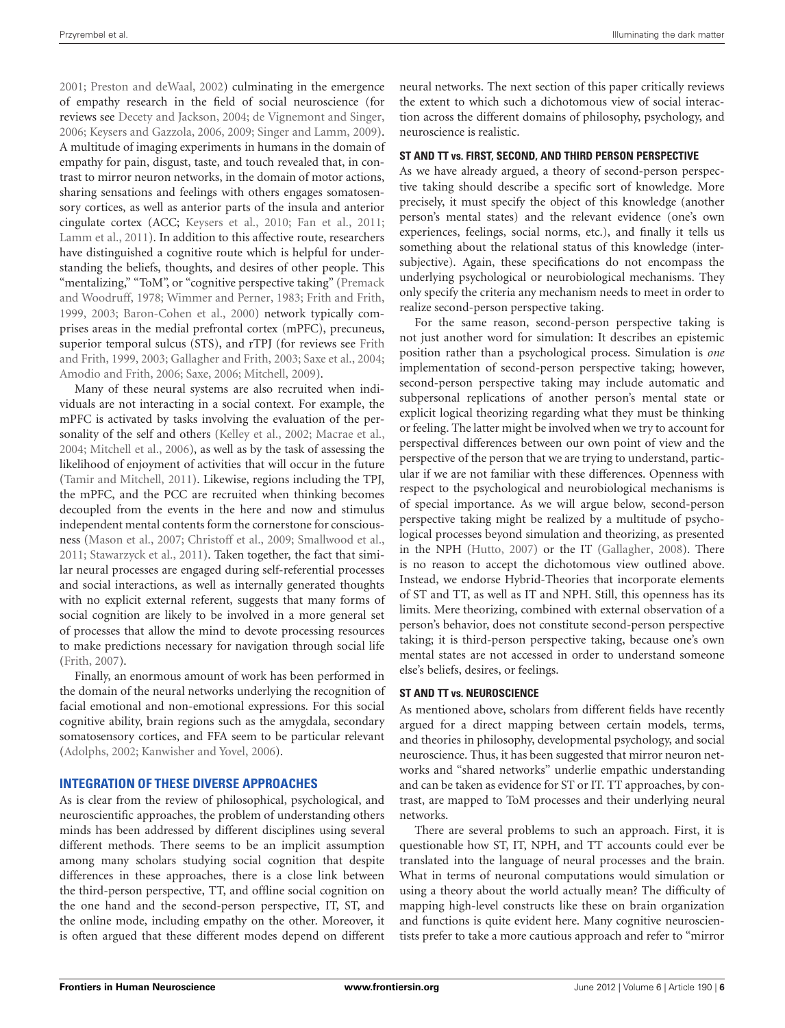[2001](#page-12-29); [Preston and deWaal](#page-13-17), [2002\)](#page-13-17) culminating in the emergence of empathy research in the field of social neuroscience (for reviews see [Decety and Jackson](#page-11-6), [2004](#page-11-6); [de Vignemont and Singer,](#page-12-30) [2006](#page-12-30); [Keysers and Gazzola, 2006](#page-12-31), [2009;](#page-12-32) [Singer and Lamm](#page-13-18), [2009](#page-13-18)). A multitude of imaging experiments in humans in the domain of empathy for pain, disgust, taste, and touch revealed that, in contrast to mirror neuron networks, in the domain of motor actions, sharing sensations and feelings with others engages somatosensory cortices, as well as anterior parts of the insula and anterior cingulate cortex (ACC; [Keysers et al.](#page-12-33), [2010;](#page-12-33) [Fan et al., 2011;](#page-12-34) [Lamm et al.](#page-12-35), [2011\)](#page-12-35). In addition to this affective route, researchers have distinguished a cognitive route which is helpful for understanding the beliefs, thoughts, and desires of other people. This "mentalizing,[" "ToM", or "cognitive perspective taking" \(](#page-13-19)Premack and Woodruff, [1978;](#page-13-19) [Wimmer and Perner](#page-14-4), [1983;](#page-14-4) [Frith and Frith,](#page-12-36) [1999](#page-12-36), [2003;](#page-12-37) [Baron-Cohen et al.](#page-11-7), [2000](#page-11-7)) network typically comprises areas in the medial prefrontal cortex (mPFC), precuneus, superior [temporal sulcus \(STS\), and rTPJ \(for reviews see](#page-12-36) Frith and Frith, [1999,](#page-12-36) [2003](#page-12-37); [Gallagher and Frith, 2003](#page-12-38); [Saxe et al.](#page-13-20), [2004;](#page-13-20) [Amodio and Frith](#page-11-8), [2006;](#page-11-8) [Saxe](#page-13-21), [2006;](#page-13-21) [Mitchell, 2009\)](#page-12-39).

Many of these neural systems are also recruited when individuals are not interacting in a social context. For example, the mPFC is activated by tasks involving the evaluation of the personality of the self and others [\(Kelley et al.](#page-12-40), [2002](#page-12-40); [Macrae et al.,](#page-12-41) [2004](#page-12-41); [Mitchell et al., 2006\)](#page-13-22), as well as by the task of assessing the likelihood of enjoyment of activities that will occur in the future [\(Tamir and Mitchell](#page-13-23), [2011\)](#page-13-23). Likewise, regions including the TPJ, the mPFC, and the PCC are recruited when thinking becomes decoupled from the events in the here and now and stimulus independent mental contents form the cornerstone for consciousness [\(Mason et al.](#page-12-42), [2007;](#page-12-42) [Christoff et al., 2009;](#page-11-9) [Smallwood et al.,](#page-13-14) [2011](#page-13-14); [Stawarzyck et al.](#page-13-24), [2011](#page-13-24)). Taken together, the fact that similar neural processes are engaged during self-referential processes and social interactions, as well as internally generated thoughts with no explicit external referent, suggests that many forms of social cognition are likely to be involved in a more general set of processes that allow the mind to devote processing resources to make predictions necessary for navigation through social life [\(Frith, 2007](#page-12-43)).

Finally, an enormous amount of work has been performed in the domain of the neural networks underlying the recognition of facial emotional and non-emotional expressions. For this social cognitive ability, brain regions such as the amygdala, secondary somatosensory cortices, and FFA seem to be particular relevant [\(Adolphs](#page-11-10), [2002;](#page-11-10) [Kanwisher and Yovel](#page-12-44), [2006\)](#page-12-44).

## **INTEGRATION OF THESE DIVERSE APPROACHES**

As is clear from the review of philosophical, psychological, and neuroscientific approaches, the problem of understanding others minds has been addressed by different disciplines using several different methods. There seems to be an implicit assumption among many scholars studying social cognition that despite differences in these approaches, there is a close link between the third-person perspective, TT, and offline social cognition on the one hand and the second-person perspective, IT, ST, and the online mode, including empathy on the other. Moreover, it is often argued that these different modes depend on different neural networks. The next section of this paper critically reviews the extent to which such a dichotomous view of social interaction across the different domains of philosophy, psychology, and neuroscience is realistic.

## **ST AND TT vs. FIRST, SECOND, AND THIRD PERSON PERSPECTIVE**

As we have already argued, a theory of second-person perspective taking should describe a specific sort of knowledge. More precisely, it must specify the object of this knowledge (another person's mental states) and the relevant evidence (one's own experiences, feelings, social norms, etc.), and finally it tells us something about the relational status of this knowledge (intersubjective). Again, these specifications do not encompass the underlying psychological or neurobiological mechanisms. They only specify the criteria any mechanism needs to meet in order to realize second-person perspective taking.

For the same reason, second-person perspective taking is not just another word for simulation: It describes an epistemic position rather than a psychological process. Simulation is *one* implementation of second-person perspective taking; however, second-person perspective taking may include automatic and subpersonal replications of another person's mental state or explicit logical theorizing regarding what they must be thinking or feeling. The latter might be involved when we try to account for perspectival differences between our own point of view and the perspective of the person that we are trying to understand, particular if we are not familiar with these differences. Openness with respect to the psychological and neurobiological mechanisms is of special importance. As we will argue below, second-person perspective taking might be realized by a multitude of psychological processes beyond simulation and theorizing, as presented in the NPH [\(Hutto](#page-12-20), [2007\)](#page-12-20) or the IT [\(Gallagher, 2008\)](#page-12-18). There is no reason to accept the dichotomous view outlined above. Instead, we endorse Hybrid-Theories that incorporate elements of ST and TT, as well as IT and NPH. Still, this openness has its limits. Mere theorizing, combined with external observation of a person's behavior, does not constitute second-person perspective taking; it is third-person perspective taking, because one's own mental states are not accessed in order to understand someone else's beliefs, desires, or feelings.

#### **ST AND TT vs. NEUROSCIENCE**

As mentioned above, scholars from different fields have recently argued for a direct mapping between certain models, terms, and theories in philosophy, developmental psychology, and social neuroscience. Thus, it has been suggested that mirror neuron networks and "shared networks" underlie empathic understanding and can be taken as evidence for ST or IT. TT approaches, by contrast, are mapped to ToM processes and their underlying neural networks.

There are several problems to such an approach. First, it is questionable how ST, IT, NPH, and TT accounts could ever be translated into the language of neural processes and the brain. What in terms of neuronal computations would simulation or using a theory about the world actually mean? The difficulty of mapping high-level constructs like these on brain organization and functions is quite evident here. Many cognitive neuroscientists prefer to take a more cautious approach and refer to "mirror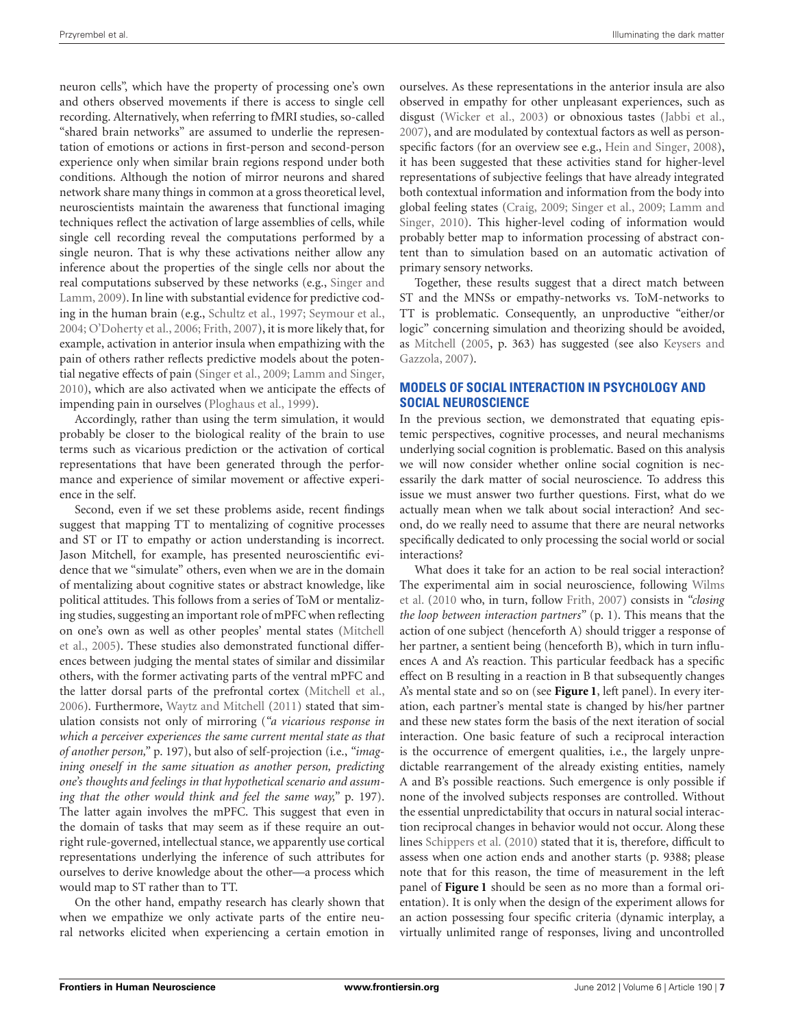neuron cells", which have the property of processing one's own and others observed movements if there is access to single cell recording. Alternatively, when referring to fMRI studies, so-called "shared brain networks" are assumed to underlie the representation of emotions or actions in first-person and second-person experience only when similar brain regions respond under both conditions. Although the notion of mirror neurons and shared network share many things in common at a gross theoretical level, neuroscientists maintain the awareness that functional imaging techniques reflect the activation of large assemblies of cells, while single cell recording reveal the computations performed by a single neuron. That is why these activations neither allow any inference about the properties of the single cells nor about the real c[omputations subserved by these networks \(e.g.,](#page-13-18) Singer and Lamm, [2009](#page-13-18)). In line with substantial evidence for predictive coding in the human brain (e.g., [Schultz et al., 1997;](#page-13-25) [Seymour et al.,](#page-13-26) [2004](#page-13-26); [O'Doherty et al., 2006](#page-13-27); [Frith](#page-12-43), [2007](#page-12-43)), it is more likely that, for example, activation in anterior insula when empathizing with the pain of others rather reflects predictive models about the potential negative effects of pain [\(Singer et al.](#page-13-28), [2009;](#page-13-28) [Lamm and Singer,](#page-12-45) [2010](#page-12-45)), which are also activated when we anticipate the effects of impending pain in ourselves [\(Ploghaus et al.](#page-13-29), [1999](#page-13-29)).

Accordingly, rather than using the term simulation, it would probably be closer to the biological reality of the brain to use terms such as vicarious prediction or the activation of cortical representations that have been generated through the performance and experience of similar movement or affective experience in the self.

Second, even if we set these problems aside, recent findings suggest that mapping TT to mentalizing of cognitive processes and ST or IT to empathy or action understanding is incorrect. Jason Mitchell, for example, has presented neuroscientific evidence that we "simulate" others, even when we are in the domain of mentalizing about cognitive states or abstract knowledge, like political attitudes. This follows from a series of ToM or mentalizing studies, suggesting an important role of mPFC when reflecting on o[ne's](#page-12-46) [own](#page-12-46) [as](#page-12-46) [well](#page-12-46) [as](#page-12-46) [other](#page-12-46) [peoples'](#page-12-46) [mental](#page-12-46) [states](#page-12-46) [\(](#page-12-46)Mitchell et al., [2005\)](#page-12-46). These studies also demonstrated functional differences between judging the mental states of similar and dissimilar others, with the former activating parts of the ventral mPFC and the latter dorsal parts of the prefrontal cortex [\(Mitchell et al.,](#page-13-22) [2006](#page-13-22)). Furthermore, [Waytz and Mitchell](#page-13-30) [\(2011](#page-13-30)) stated that simulation consists not only of mirroring (*"a vicarious response in which a perceiver experiences the same current mental state as that of another person,"* p. 197), but also of self-projection (i.e., *"imagining oneself in the same situation as another person, predicting one's thoughts and feelings in that hypothetical scenario and assuming that the other would think and feel the same way,"* p. 197). The latter again involves the mPFC. This suggest that even in the domain of tasks that may seem as if these require an outright rule-governed, intellectual stance, we apparently use cortical representations underlying the inference of such attributes for ourselves to derive knowledge about the other—a process which would map to ST rather than to TT.

On the other hand, empathy research has clearly shown that when we empathize we only activate parts of the entire neural networks elicited when experiencing a certain emotion in

ourselves. As these representations in the anterior insula are also observed in empathy for other unpleasant experiences, such as disgust [\(Wicker et al.](#page-13-31), [2003\)](#page-13-31) or obnoxious tastes [\(Jabbi et al.,](#page-12-47) [2007](#page-12-47)), and are modulated by contextual factors as well as person-specific factors (for an overview see e.g., [Hein and Singer](#page-12-48), [2008](#page-12-48)), it has been suggested that these activities stand for higher-level representations of subjective feelings that have already integrated both contextual information and information from the body into global [feeling states](#page-12-45) [\(Craig](#page-11-11)[,](#page-12-45) [2009;](#page-11-11) [Singer et al.](#page-13-28)[,](#page-12-45) [2009;](#page-13-28) Lamm and Singer, [2010](#page-12-45)). This higher-level coding of information would probably better map to information processing of abstract content than to simulation based on an automatic activation of primary sensory networks.

Together, these results suggest that a direct match between ST and the MNSs or empathy-networks vs. ToM-networks to TT is problematic. Consequently, an unproductive "either/or logic" concerning simulation and theorizing should be avoided, as [Mitchell](#page-12-49) [\(2005,](#page-12-49) [p. 363\) has suggested \(see also](#page-12-15) Keysers and Gazzola, [2007\)](#page-12-15).

## **MODELS OF SOCIAL INTERACTION IN PSYCHOLOGY AND SOCIAL NEUROSCIENCE**

In the previous section, we demonstrated that equating epistemic perspectives, cognitive processes, and neural mechanisms underlying social cognition is problematic. Based on this analysis we will now consider whether online social cognition is necessarily the dark matter of social neuroscience. To address this issue we must answer two further questions. First, what do we actually mean when we talk about social interaction? And second, do we really need to assume that there are neural networks specifically dedicated to only processing the social world or social interactions?

What does it take for an action to be real social interaction? The [experimental aim in social neuroscience, following](#page-14-1) Wilms et al. [\(2010](#page-14-1) who, in turn, follow [Frith, 2007](#page-12-43)) consists in *"closing the loop between interaction partners"* (p. 1). This means that the action of one subject (henceforth A) should trigger a response of her partner, a sentient being (henceforth B), which in turn influences A and A's reaction. This particular feedback has a specific effect on B resulting in a reaction in B that subsequently changes A's mental state and so on (see **[Figure 1](#page-7-0)**, left panel). In every iteration, each partner's mental state is changed by his/her partner and these new states form the basis of the next iteration of social interaction. One basic feature of such a reciprocal interaction is the occurrence of emergent qualities, i.e., the largely unpredictable rearrangement of the already existing entities, namely A and B's possible reactions. Such emergence is only possible if none of the involved subjects responses are controlled. Without the essential unpredictability that occurs in natural social interaction reciprocal changes in behavior would not occur. Along these lines [Schippers et al.](#page-13-32) [\(2010](#page-13-32)) stated that it is, therefore, difficult to assess when one action ends and another starts (p. 9388; please note that for this reason, the time of measurement in the left panel of **[Figure 1](#page-7-0)** should be seen as no more than a formal orientation). It is only when the design of the experiment allows for an action possessing four specific criteria (dynamic interplay, a virtually unlimited range of responses, living and uncontrolled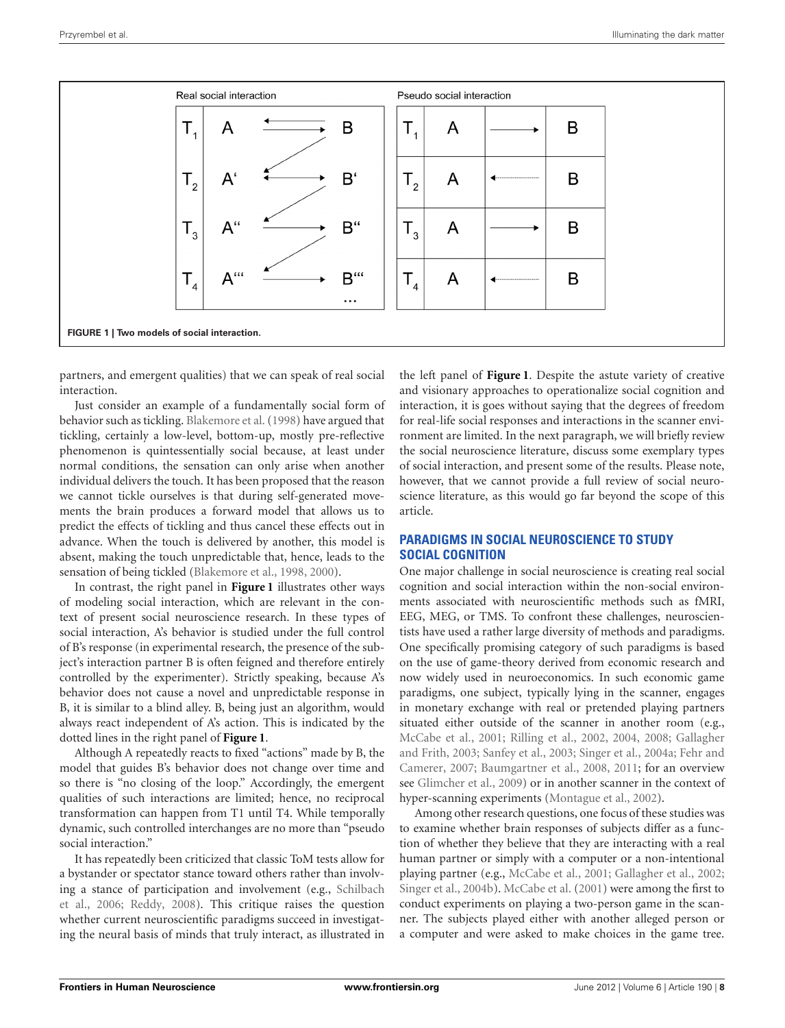

<span id="page-7-0"></span>partners, and emergent qualities) that we can speak of real social interaction.

Just consider an example of a fundamentally social form of behavior such as tickling. [Blakemore et al.\(1998\)](#page-11-12) have argued that tickling, certainly a low-level, bottom-up, mostly pre-reflective phenomenon is quintessentially social because, at least under normal conditions, the sensation can only arise when another individual delivers the touch. It has been proposed that the reason we cannot tickle ourselves is that during self-generated movements the brain produces a forward model that allows us to predict the effects of tickling and thus cancel these effects out in advance. When the touch is delivered by another, this model is absent, making the touch unpredictable that, hence, leads to the sensation of being tickled [\(Blakemore et al., 1998,](#page-11-12) [2000](#page-11-13)).

In contrast, the right panel in **[Figure 1](#page-7-0)** illustrates other ways of modeling social interaction, which are relevant in the context of present social neuroscience research. In these types of social interaction, A's behavior is studied under the full control of B's response (in experimental research, the presence of the subject's interaction partner B is often feigned and therefore entirely controlled by the experimenter). Strictly speaking, because A's behavior does not cause a novel and unpredictable response in B, it is similar to a blind alley. B, being just an algorithm, would always react independent of A's action. This is indicated by the dotted lines in the right panel of **[Figure 1](#page-7-0)**.

Although A repeatedly reacts to fixed "actions" made by B, the model that guides B's behavior does not change over time and so there is "no closing of the loop." Accordingly, the emergent qualities of such interactions are limited; hence, no reciprocal transformation can happen from T1 until T4. While temporally dynamic, such controlled interchanges are no more than "pseudo social interaction."

It has repeatedly been criticized that classic ToM tests allow for a bystander or spectator stance toward others rather than involving a [stance](#page-13-11) [of](#page-13-11) [participation](#page-13-11) [and](#page-13-11) [involvement](#page-13-11) [\(e.g.,](#page-13-11) Schilbach et al., [2006;](#page-13-11) [Reddy, 2008](#page-13-2)). This critique raises the question whether current neuroscientific paradigms succeed in investigating the neural basis of minds that truly interact, as illustrated in

the left panel of **[Figure 1](#page-7-0)**. Despite the astute variety of creative and visionary approaches to operationalize social cognition and interaction, it is goes without saying that the degrees of freedom for real-life social responses and interactions in the scanner environment are limited. In the next paragraph, we will briefly review the social neuroscience literature, discuss some exemplary types of social interaction, and present some of the results. Please note, however, that we cannot provide a full review of social neuroscience literature, as this would go far beyond the scope of this article.

## **PARADIGMS IN SOCIAL NEUROSCIENCE TO STUDY SOCIAL COGNITION**

One major challenge in social neuroscience is creating real social cognition and social interaction within the non-social environments associated with neuroscientific methods such as fMRI, EEG, MEG, or TMS. To confront these challenges, neuroscientists have used a rather large diversity of methods and paradigms. One specifically promising category of such paradigms is based on the use of game-theory derived from economic research and now widely used in neuroeconomics. In such economic game paradigms, one subject, typically lying in the scanner, engages in monetary exchange with real or pretended playing partners situated either outside of the scanner in another room (e.g., [McCabe et al.](#page-12-50)[,](#page-12-38) [2001](#page-12-50)[;](#page-12-38) [Rilling et al.](#page-13-33)[,](#page-12-38) [2002](#page-13-33)[,](#page-12-38) [2004](#page-13-34)[,](#page-12-38) [2008](#page-13-35)[;](#page-12-38) Gallagher and Frit[h,](#page-12-51) [2003;](#page-12-38) [Sanfey et al.](#page-13-36)[,](#page-12-51) [2003](#page-13-36)[;](#page-12-51) [Singer et al.](#page-13-37)[,](#page-12-51) [2004a](#page-13-37)[;](#page-12-51) Fehr and Camerer, [2007;](#page-12-51) [Baumgartner et al.](#page-11-14), [2008](#page-11-14), [2011](#page-11-15); for an overview see [Glimcher et al.](#page-12-52), [2009](#page-12-52)) or in another scanner in the context of hyper-scanning experiments [\(Montague et al., 2002](#page-13-38)).

Among other research questions, one focus of these studies was to examine whether brain responses of subjects differ as a function of whether they believe that they are interacting with a real human partner or simply with a computer or a non-intentional playing partner (e.g., [McCabe et al., 2001;](#page-12-50) [Gallagher et al.](#page-12-53), [2002;](#page-12-53) [Singer et al., 2004b](#page-13-39)). [McCabe et al.](#page-12-50) [\(2001](#page-12-50)) were among the first to conduct experiments on playing a two-person game in the scanner. The subjects played either with another alleged person or a computer and were asked to make choices in the game tree.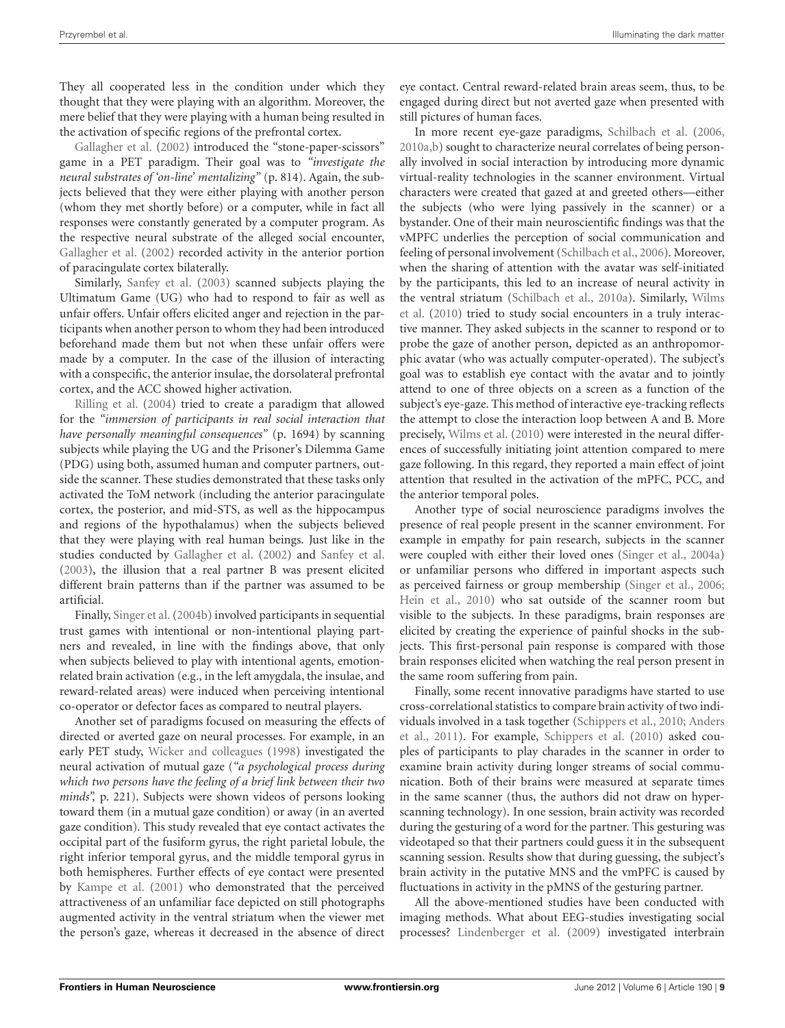They all cooperated less in the condition under which they thought that they were playing with an algorithm. Moreover, the mere belief that they were playing with a human being resulted in [the](#page-12-53) [activation](#page-12-53) [of](#page-12-53) [sp](#page-12-53)ecific regions of the prefrontal cortex.

Gallagher et al. [\(2002](#page-12-53)) introduced the "stone-paper-scissors" game in a PET paradigm. Their goal was to *"investigate the neural substrates of 'on-line' mentalizing"* (p. 814). Again, the subjects believed that they were either playing with another person (whom they met shortly before) or a computer, while in fact all responses were constantly generated by a computer program. As the respective neural substrate of the alleged social encounter, [Gallagher et al.](#page-12-53) [\(2002\)](#page-12-53) recorded activity in the anterior portion of paracingulate cortex bilaterally.

Similarly, [Sanfey et al.](#page-13-36) [\(2003](#page-13-36)) scanned subjects playing the Ultimatum Game (UG) who had to respond to fair as well as unfair offers. Unfair offers elicited anger and rejection in the participants when another person to whom they had been introduced beforehand made them but not when these unfair offers were made by a computer. In the case of the illusion of interacting with a conspecific, the anterior insulae, the dorsolateral prefrontal [cortex,](#page-13-34) [and](#page-13-34) [the](#page-13-34) [A](#page-13-34)CC showed higher activation.

Rilling et al. [\(2004](#page-13-34)) tried to create a paradigm that allowed for the *"immersion of participants in real social interaction that have personally meaningful consequences"* (p. 1694) by scanning subjects while playing the UG and the Prisoner's Dilemma Game (PDG) using both, assumed human and computer partners, outside the scanner. These studies demonstrated that these tasks only activated the ToM network (including the anterior paracingulate cortex, the posterior, and mid-STS, as well as the hippocampus and regions of the hypothalamus) when the subjects believed that they were playing with real human beings. Just like in the studies conducted by [Gallagher et al.](#page-12-53) [\(2002\)](#page-12-53) and [Sanfey et al.](#page-13-36) [\(2003\)](#page-13-36), the illusion that a real partner B was present elicited different brain patterns than if the partner was assumed to be artificial.

Finally, [Singer et al.\(2004b\)](#page-13-39) involved participants in sequential trust games with intentional or non-intentional playing partners and revealed, in line with the findings above, that only when subjects believed to play with intentional agents, emotionrelated brain activation (e.g., in the left amygdala, the insulae, and reward-related areas) were induced when perceiving intentional co-operator or defector faces as compared to neutral players.

Another set of paradigms focused on measuring the effects of directed or averted gaze on neural processes. For example, in an early PET study, [Wicker and colleagues](#page-14-5) [\(1998](#page-14-5)) investigated the neural activation of mutual gaze (*"a psychological process during which two persons have the feeling of a brief link between their two minds",* p. 221). Subjects were shown videos of persons looking toward them (in a mutual gaze condition) or away (in an averted gaze condition). This study revealed that eye contact activates the occipital part of the fusiform gyrus, the right parietal lobule, the right inferior temporal gyrus, and the middle temporal gyrus in both hemispheres. Further effects of eye contact were presented by [Kampe et al.](#page-12-54) [\(2001](#page-12-54)) who demonstrated that the perceived attractiveness of an unfamiliar face depicted on still photographs augmented activity in the ventral striatum when the viewer met the person's gaze, whereas it decreased in the absence of direct

eye contact. Central reward-related brain areas seem, thus, to be engaged during direct but not averted gaze when presented with still pictures of human faces.

In more recent eye-gaze paradigms, [Schilbach et al.](#page-13-11) [\(2006,](#page-13-11) [2010a](#page-13-5)[,b\)](#page-13-40) sought to characterize neural correlates of being personally involved in social interaction by introducing more dynamic virtual-reality technologies in the scanner environment. Virtual characters were created that gazed at and greeted others—either the subjects (who were lying passively in the scanner) or a bystander. One of their main neuroscientific findings was that the vMPFC underlies the perception of social communication and feeling of personal involvement [\(Schilbach et al.](#page-13-11), [2006\)](#page-13-11). Moreover, when the sharing of attention with the avatar was self-initiated by the participants, this led to an increase of neural activity in the [ventral](#page-14-1) [striatum](#page-14-1) [\(Schilbach et al.](#page-13-5)[,](#page-14-1) [2010a](#page-13-5)[\).](#page-14-1) [Similarly,](#page-14-1) Wilms et al. [\(2010](#page-14-1)) tried to study social encounters in a truly interactive manner. They asked subjects in the scanner to respond or to probe the gaze of another person, depicted as an anthropomorphic avatar (who was actually computer-operated). The subject's goal was to establish eye contact with the avatar and to jointly attend to one of three objects on a screen as a function of the subject's eye-gaze. This method of interactive eye-tracking reflects the attempt to close the interaction loop between A and B. More precisely, [Wilms et al.](#page-14-1) [\(2010](#page-14-1)) were interested in the neural differences of successfully initiating joint attention compared to mere gaze following. In this regard, they reported a main effect of joint attention that resulted in the activation of the mPFC, PCC, and the anterior temporal poles.

Another type of social neuroscience paradigms involves the presence of real people present in the scanner environment. For example in empathy for pain research, subjects in the scanner were coupled with either their loved ones [\(Singer et al.](#page-13-37), [2004a](#page-13-37)) or unfamiliar persons who differed in important aspects such as perceived fairness or group membership [\(Singer et al., 2006;](#page-13-41) [Hein et al., 2010](#page-12-55)) who sat outside of the scanner room but visible to the subjects. In these paradigms, brain responses are elicited by creating the experience of painful shocks in the subjects. This first-personal pain response is compared with those brain responses elicited when watching the real person present in the same room suffering from pain.

Finally, some recent innovative paradigms have started to use cross-correlational statistics to compare brain activity of two individu[als involved in a task together](#page-11-16) [\(Schippers et al.](#page-13-32)[,](#page-11-16) [2010](#page-13-32)[;](#page-11-16) Anders et al., [2011\)](#page-11-16). For example, [Schippers et al.](#page-13-32) [\(2010\)](#page-13-32) asked couples of participants to play charades in the scanner in order to examine brain activity during longer streams of social communication. Both of their brains were measured at separate times in the same scanner (thus, the authors did not draw on hyperscanning technology). In one session, brain activity was recorded during the gesturing of a word for the partner. This gesturing was videotaped so that their partners could guess it in the subsequent scanning session. Results show that during guessing, the subject's brain activity in the putative MNS and the vmPFC is caused by fluctuations in activity in the pMNS of the gesturing partner.

All the above-mentioned studies have been conducted with imaging methods. What about EEG-studies investigating social processes? [Lindenberger et al.](#page-12-56) [\(2009\)](#page-12-56) investigated interbrain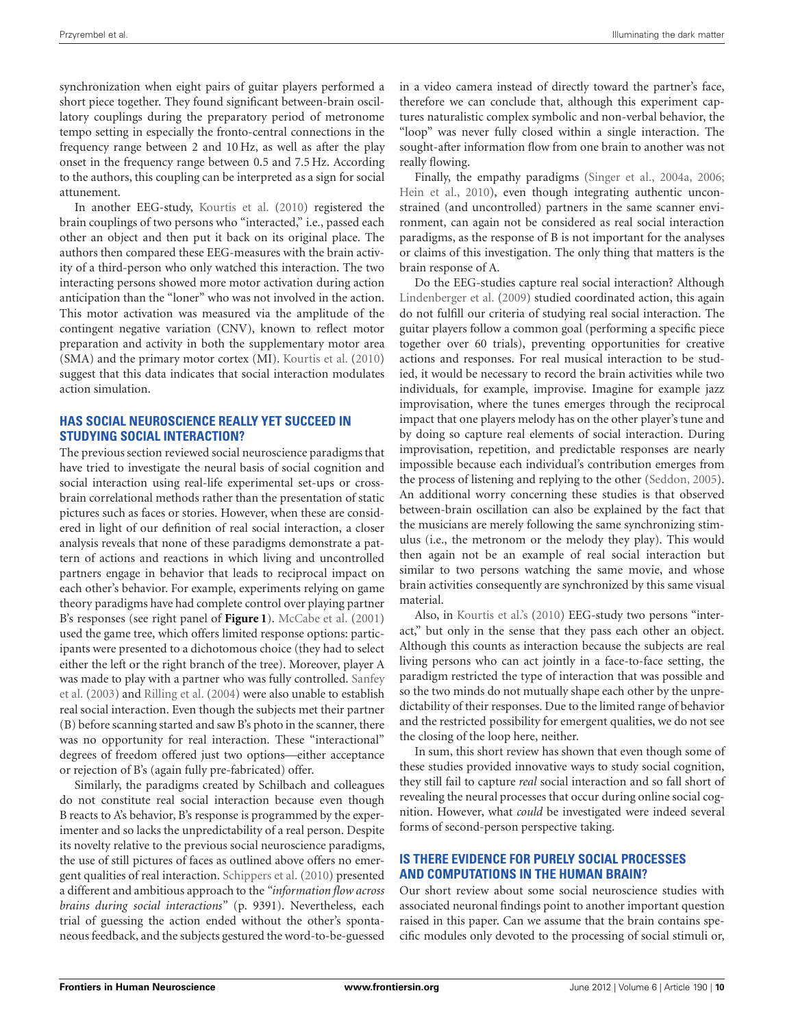synchronization when eight pairs of guitar players performed a short piece together. They found significant between-brain oscillatory couplings during the preparatory period of metronome tempo setting in especially the fronto-central connections in the frequency range between 2 and 10 Hz, as well as after the play onset in the frequency range between 0.5 and 7.5 Hz. According to the authors, this coupling can be interpreted as a sign for social attunement.

In another EEG-study, [Kourtis et al.](#page-12-57) [\(2010](#page-12-57)) registered the brain couplings of two persons who "interacted," i.e., passed each other an object and then put it back on its original place. The authors then compared these EEG-measures with the brain activity of a third-person who only watched this interaction. The two interacting persons showed more motor activation during action anticipation than the "loner" who was not involved in the action. This motor activation was measured via the amplitude of the contingent negative variation (CNV), known to reflect motor preparation and activity in both the supplementary motor area (SMA) and the primary motor cortex (MI). [Kourtis et al.](#page-12-57) [\(2010](#page-12-57)) suggest that this data indicates that social interaction modulates action simulation.

### **HAS SOCIAL NEUROSCIENCE REALLY YET SUCCEED IN STUDYING SOCIAL INTERACTION?**

The previous section reviewed social neuroscience paradigms that have tried to investigate the neural basis of social cognition and social interaction using real-life experimental set-ups or crossbrain correlational methods rather than the presentation of static pictures such as faces or stories. However, when these are considered in light of our definition of real social interaction, a closer analysis reveals that none of these paradigms demonstrate a pattern of actions and reactions in which living and uncontrolled partners engage in behavior that leads to reciprocal impact on each other's behavior. For example, experiments relying on game theory paradigms have had complete control over playing partner B's responses (see right panel of **[Figure 1](#page-7-0)**). [McCabe et al.](#page-12-50) [\(2001](#page-12-50)) used the game tree, which offers limited response options: participants were presented to a dichotomous choice (they had to select either the left or the right branch of the tree). Moreover, player A was [made](#page-13-36) [to](#page-13-36) [play](#page-13-36) [with](#page-13-36) [a](#page-13-36) [partner](#page-13-36) [who](#page-13-36) [was](#page-13-36) [fully](#page-13-36) [controlled.](#page-13-36) Sanfey et al. [\(2003](#page-13-36)) and [Rilling et al.](#page-13-34) [\(2004\)](#page-13-34) were also unable to establish real social interaction. Even though the subjects met their partner (B) before scanning started and saw B's photo in the scanner, there was no opportunity for real interaction. These "interactional" degrees of freedom offered just two options—either acceptance or rejection of B's (again fully pre-fabricated) offer.

Similarly, the paradigms created by Schilbach and colleagues do not constitute real social interaction because even though B reacts to A's behavior, B's response is programmed by the experimenter and so lacks the unpredictability of a real person. Despite its novelty relative to the previous social neuroscience paradigms, the use of still pictures of faces as outlined above offers no emergent qualities of real interaction. [Schippers et al.](#page-13-32) [\(2010\)](#page-13-32) presented a different and ambitious approach to the *"information flow across brains during social interactions"* (p. 9391). Nevertheless, each trial of guessing the action ended without the other's spontaneous feedback, and the subjects gestured the word-to-be-guessed

in a video camera instead of directly toward the partner's face, therefore we can conclude that, although this experiment captures naturalistic complex symbolic and non-verbal behavior, the "loop" was never fully closed within a single interaction. The sought-after information flow from one brain to another was not really flowing.

Finally, the empathy paradigms [\(Singer et al.](#page-13-37), [2004a](#page-13-37), [2006;](#page-13-41) [Hein et al., 2010](#page-12-55)), even though integrating authentic unconstrained (and uncontrolled) partners in the same scanner environment, can again not be considered as real social interaction paradigms, as the response of B is not important for the analyses or claims of this investigation. The only thing that matters is the brain response of A.

Do the EEG-studies capture real social interaction? Although [Lindenberger et al.](#page-12-56) [\(2009](#page-12-56)) studied coordinated action, this again do not fulfill our criteria of studying real social interaction. The guitar players follow a common goal (performing a specific piece together over 60 trials), preventing opportunities for creative actions and responses. For real musical interaction to be studied, it would be necessary to record the brain activities while two individuals, for example, improvise. Imagine for example jazz improvisation, where the tunes emerges through the reciprocal impact that one players melody has on the other player's tune and by doing so capture real elements of social interaction. During improvisation, repetition, and predictable responses are nearly impossible because each individual's contribution emerges from the process of listening and replying to the other [\(Seddon](#page-13-42), [2005\)](#page-13-42). An additional worry concerning these studies is that observed between-brain oscillation can also be explained by the fact that the musicians are merely following the same synchronizing stimulus (i.e., the metronom or the melody they play). This would then again not be an example of real social interaction but similar to two persons watching the same movie, and whose brain activities consequently are synchronized by this same visual material.

Also, in [Kourtis et al.'s](#page-12-57) [\(2010\)](#page-12-57) EEG-study two persons "interact," but only in the sense that they pass each other an object. Although this counts as interaction because the subjects are real living persons who can act jointly in a face-to-face setting, the paradigm restricted the type of interaction that was possible and so the two minds do not mutually shape each other by the unpredictability of their responses. Due to the limited range of behavior and the restricted possibility for emergent qualities, we do not see the closing of the loop here, neither.

In sum, this short review has shown that even though some of these studies provided innovative ways to study social cognition, they still fail to capture *real* social interaction and so fall short of revealing the neural processes that occur during online social cognition. However, what *could* be investigated were indeed several forms of second-person perspective taking.

## **IS THERE EVIDENCE FOR PURELY SOCIAL PROCESSES AND COMPUTATIONS IN THE HUMAN BRAIN?**

Our short review about some social neuroscience studies with associated neuronal findings point to another important question raised in this paper. Can we assume that the brain contains specific modules only devoted to the processing of social stimuli or,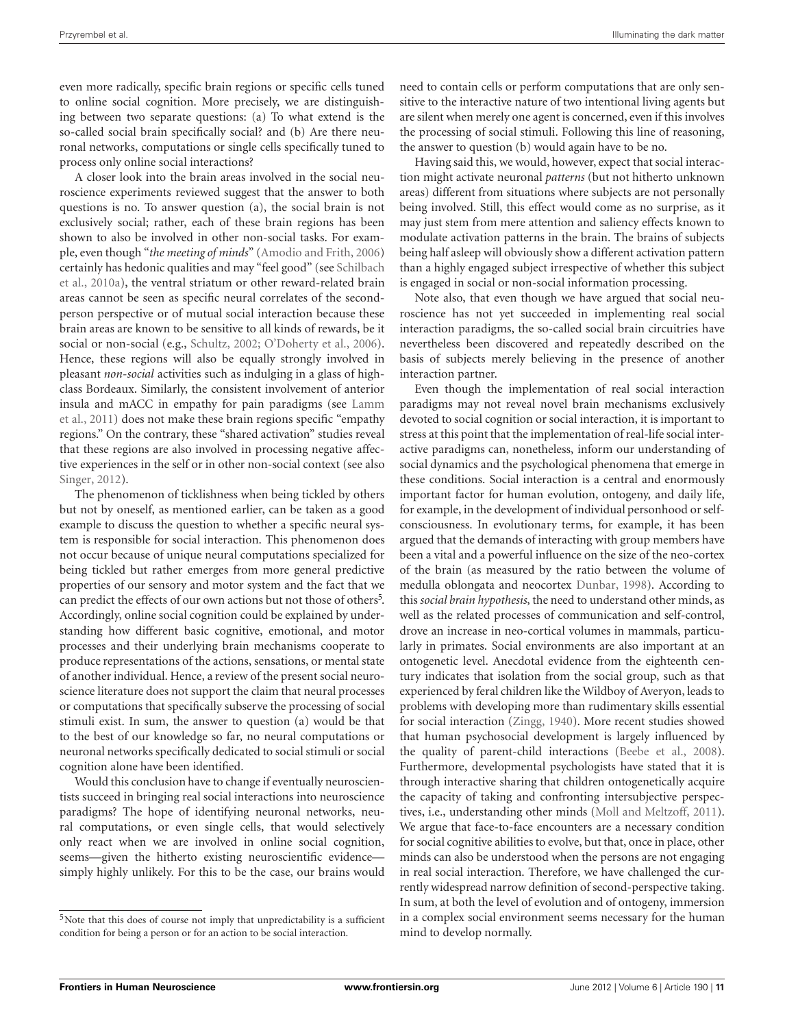even more radically, specific brain regions or specific cells tuned to online social cognition. More precisely, we are distinguishing between two separate questions: (a) To what extend is the so-called social brain specifically social? and (b) Are there neuronal networks, computations or single cells specifically tuned to process only online social interactions?

A closer look into the brain areas involved in the social neuroscience experiments reviewed suggest that the answer to both questions is no. To answer question (a), the social brain is not exclusively social; rather, each of these brain regions has been shown to also be involved in other non-social tasks. For example, even though "*the meeting of minds*" [\(Amodio and Frith, 2006](#page-11-8)) certa[inly](#page-13-5) [has](#page-13-5) [hedonic](#page-13-5) [qualities](#page-13-5) [and](#page-13-5) [may](#page-13-5) ["feel](#page-13-5) [good"](#page-13-5) [\(see](#page-13-5) Schilbach et al., [2010a](#page-13-5)), the ventral striatum or other reward-related brain areas cannot be seen as specific neural correlates of the secondperson perspective or of mutual social interaction because these brain areas are known to be sensitive to all kinds of rewards, be it social or non-social (e.g., [Schultz](#page-13-43), [2002;](#page-13-43) [O'Doherty et al., 2006](#page-13-27)). Hence, these regions will also be equally strongly involved in pleasant *non-social* activities such as indulging in a glass of highclass Bordeaux. Similarly, the consistent involvement of anterior insu[la and mACC in empathy for pain paradigms \(see](#page-12-35) Lamm et al., [2011](#page-12-35)) does not make these brain regions specific "empathy regions." On the contrary, these "shared activation" studies reveal that these regions are also involved in processing negative affective experiences in the self or in other non-social context (see also [Singer](#page-13-44), [2012\)](#page-13-44).

The phenomenon of ticklishness when being tickled by others but not by oneself, as mentioned earlier, can be taken as a good example to discuss the question to whether a specific neural system is responsible for social interaction. This phenomenon does not occur because of unique neural computations specialized for being tickled but rather emerges from more general predictive properties of our sensory and motor system and the fact that we can predict the effects of our own actions but not those of others<sup>5</sup>. Accordingly, online social cognition could be explained by understanding how different basic cognitive, emotional, and motor processes and their underlying brain mechanisms cooperate to produce representations of the actions, sensations, or mental state of another individual. Hence, a review of the present social neuroscience literature does not support the claim that neural processes or computations that specifically subserve the processing of social stimuli exist. In sum, the answer to question (a) would be that to the best of our knowledge so far, no neural computations or neuronal networks specifically dedicated to social stimuli or social cognition alone have been identified.

Would this conclusion have to change if eventually neuroscientists succeed in bringing real social interactions into neuroscience paradigms? The hope of identifying neuronal networks, neural computations, or even single cells, that would selectively only react when we are involved in online social cognition, seems—given the hitherto existing neuroscientific evidence simply highly unlikely. For this to be the case, our brains would need to contain cells or perform computations that are only sensitive to the interactive nature of two intentional living agents but are silent when merely one agent is concerned, even if this involves the processing of social stimuli. Following this line of reasoning, the answer to question (b) would again have to be no.

Having said this, we would, however, expect that social interaction might activate neuronal *patterns* (but not hitherto unknown areas) different from situations where subjects are not personally being involved. Still, this effect would come as no surprise, as it may just stem from mere attention and saliency effects known to modulate activation patterns in the brain. The brains of subjects being half asleep will obviously show a different activation pattern than a highly engaged subject irrespective of whether this subject is engaged in social or non-social information processing.

Note also, that even though we have argued that social neuroscience has not yet succeeded in implementing real social interaction paradigms, the so-called social brain circuitries have nevertheless been discovered and repeatedly described on the basis of subjects merely believing in the presence of another interaction partner.

<span id="page-10-0"></span>Even though the implementation of real social interaction paradigms may not reveal novel brain mechanisms exclusively devoted to social cognition or social interaction, it is important to stress at this point that the implementation of real-life social interactive paradigms can, nonetheless, inform our understanding of social dynamics and the psychological phenomena that emerge in these conditions. Social interaction is a central and enormously important factor for human evolution, ontogeny, and daily life, for example, in the development of individual personhood or selfconsciousness. In evolutionary terms, for example, it has been argued that the demands of interacting with group members have been a vital and a powerful influence on the size of the neo-cortex of the brain (as measured by the ratio between the volume of medulla oblongata and neocortex [Dunbar](#page-12-58), [1998\)](#page-12-58). According to this *social brain hypothesis*, the need to understand other minds, as well as the related processes of communication and self-control, drove an increase in neo-cortical volumes in mammals, particularly in primates. Social environments are also important at an ontogenetic level. Anecdotal evidence from the eighteenth century indicates that isolation from the social group, such as that experienced by feral children like the Wildboy of Averyon, leads to problems with developing more than rudimentary skills essential for social interaction [\(Zingg](#page-14-6), [1940](#page-14-6)). More recent studies showed that human psychosocial development is largely influenced by the quality of parent-child interactions [\(Beebe et al.](#page-11-17), [2008](#page-11-17)). Furthermore, developmental psychologists have stated that it is through interactive sharing that children ontogenetically acquire the capacity of taking and confronting intersubjective perspectives, i.e., understanding other minds [\(Moll and Meltzoff, 2011](#page-13-45)). We argue that face-to-face encounters are a necessary condition for social cognitive abilities to evolve, but that, once in place, other minds can also be understood when the persons are not engaging in real social interaction. Therefore, we have challenged the currently widespread narrow definition of second-perspective taking. In sum, at both the level of evolution and of ontogeny, immersion in a complex social environment seems necessary for the human mind to develop normally.

<sup>&</sup>lt;sup>5</sup>Note that this does of course not imply that unpredictability is a sufficient condition for being a person or for an action to be social interaction.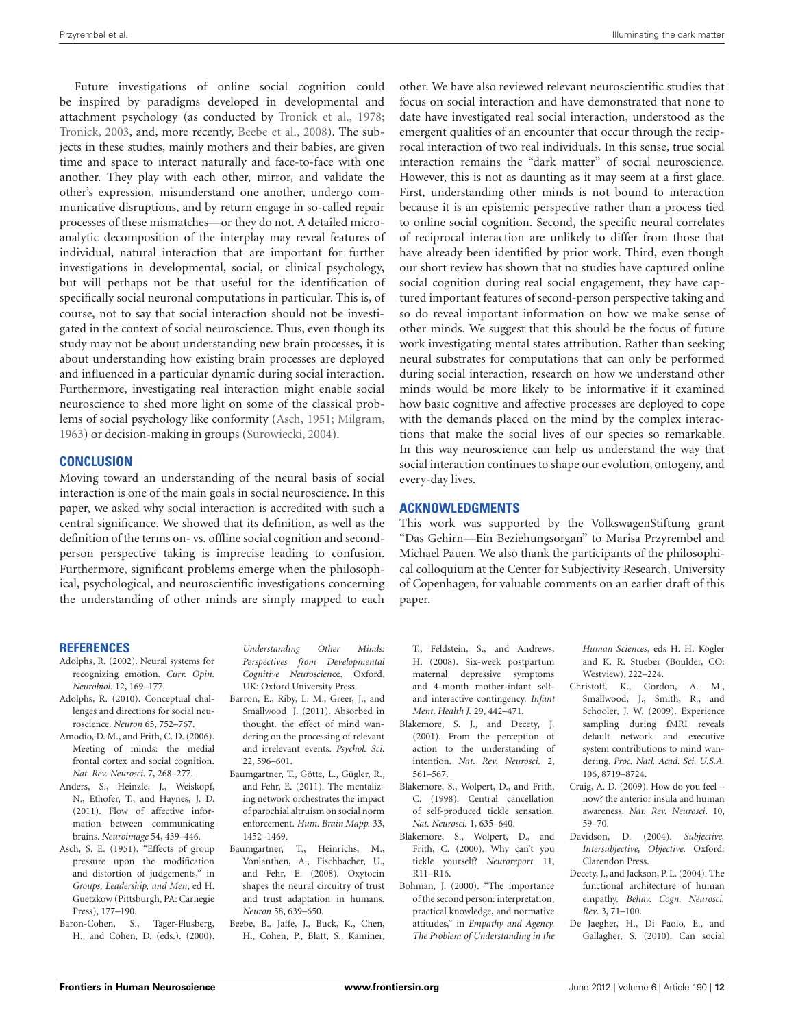Future investigations of online social cognition could be inspired by paradigms developed in developmental and attachment psychology (as conducted by [Tronick et al., 1978;](#page-13-46) [Tronick, 2003,](#page-13-47) and, more recently, [Beebe et al., 2008](#page-11-17)). The subjects in these studies, mainly mothers and their babies, are given time and space to interact naturally and face-to-face with one another. They play with each other, mirror, and validate the other's expression, misunderstand one another, undergo communicative disruptions, and by return engage in so-called repair processes of these mismatches—or they do not. A detailed microanalytic decomposition of the interplay may reveal features of individual, natural interaction that are important for further investigations in developmental, social, or clinical psychology, but will perhaps not be that useful for the identification of specifically social neuronal computations in particular. This is, of course, not to say that social interaction should not be investigated in the context of social neuroscience. Thus, even though its study may not be about understanding new brain processes, it is about understanding how existing brain processes are deployed and influenced in a particular dynamic during social interaction. Furthermore, investigating real interaction might enable social neuroscience to shed more light on some of the classical problems of social psychology like conformity [\(Asch, 1951](#page-11-18); [Milgram,](#page-12-59) [1963](#page-12-59)) or decision-making in groups [\(Surowiecki](#page-13-48), [2004\)](#page-13-48).

#### **CONCLUSION**

Moving toward an understanding of the neural basis of social interaction is one of the main goals in social neuroscience. In this paper, we asked why social interaction is accredited with such a central significance. We showed that its definition, as well as the definition of the terms on- vs. offline social cognition and secondperson perspective taking is imprecise leading to confusion. Furthermore, significant problems emerge when the philosophical, psychological, and neuroscientific investigations concerning the understanding of other minds are simply mapped to each

#### **REFERENCES**

- <span id="page-11-10"></span>Adolphs, R. (2002). Neural systems for recognizing emotion. *Curr. Opin. Neurobiol*. 12, 169–177.
- <span id="page-11-0"></span>Adolphs, R. (2010). Conceptual challenges and directions for social neuroscience. *Neuron* 65, 752–767.
- <span id="page-11-8"></span>Amodio, D. M., and Frith, C. D. (2006). Meeting of minds: the medial frontal cortex and social cognition. *Nat. Rev. Neurosci.* 7, 268–277.
- <span id="page-11-16"></span>Anders, S., Heinzle, J., Weiskopf, N., Ethofer, T., and Haynes, J. D. (2011). Flow of affective information between communicating brains. *Neuroimage* 54, 439–446.
- <span id="page-11-18"></span>Asch, S. E. (1951). "Effects of group pressure upon the modification and distortion of judgements," in *Groups, Leadership, and Men*, ed H. Guetzkow (Pittsburgh, PA: Carnegie Press), 177–190.
- <span id="page-11-7"></span>Baron-Cohen, S., Tager-Flusberg, H., and Cohen, D. (eds.). (2000).

*Understanding Other Minds: Perspectives from Developmental Cognitive Neuroscien*ce. Oxford, UK: Oxford University Press.

- <span id="page-11-4"></span>Barron, E., Riby, L. M., Greer, J., and Smallwood, J. (2011). Absorbed in thought. the effect of mind wandering on the processing of relevant and irrelevant events. *Psychol. Sci*. 22, 596–601.
- <span id="page-11-15"></span>Baumgartner, T., Götte, L., Gügler, R., and Fehr, E. (2011). The mentalizing network orchestrates the impact of parochial altruism on social norm enforcement. *Hum. Brain Mapp.* 33, 1452–1469.
- <span id="page-11-14"></span>Baumgartner, T., Heinrichs, M., Vonlanthen, A., Fischbacher, U., and Fehr, E. (2008). Oxytocin shapes the neural circuitry of trust and trust adaptation in humans. *Neuron* 58, 639–650.
- <span id="page-11-17"></span>Beebe, B., Jaffe, J., Buck, K., Chen, H., Cohen, P., Blatt, S., Kaminer,

other. We have also reviewed relevant neuroscientific studies that focus on social interaction and have demonstrated that none to date have investigated real social interaction, understood as the emergent qualities of an encounter that occur through the reciprocal interaction of two real individuals. In this sense, true social interaction remains the "dark matter" of social neuroscience. However, this is not as daunting as it may seem at a first glace. First, understanding other minds is not bound to interaction because it is an epistemic perspective rather than a process tied to online social cognition. Second, the specific neural correlates of reciprocal interaction are unlikely to differ from those that have already been identified by prior work. Third, even though our short review has shown that no studies have captured online social cognition during real social engagement, they have captured important features of second-person perspective taking and so do reveal important information on how we make sense of other minds. We suggest that this should be the focus of future work investigating mental states attribution. Rather than seeking neural substrates for computations that can only be performed during social interaction, research on how we understand other minds would be more likely to be informative if it examined how basic cognitive and affective processes are deployed to cope with the demands placed on the mind by the complex interactions that make the social lives of our species so remarkable. In this way neuroscience can help us understand the way that social interaction continues to shape our evolution, ontogeny, and every-day lives.

### **ACKNOWLEDGMENTS**

This work was supported by the VolkswagenStiftung grant "Das Gehirn—Ein Beziehungsorgan" to Marisa Przyrembel and Michael Pauen. We also thank the participants of the philosophical colloquium at the Center for Subjectivity Research, University of Copenhagen, for valuable comments on an earlier draft of this paper.

- T., Feldstein, S., and Andrews, H. (2008). Six-week postpartum maternal depressive symptoms and 4-month mother-infant selfand interactive contingency. *Infant Ment. Health J.* 29, 442–471.
- <span id="page-11-5"></span>Blakemore, S. J., and Decety, J. (2001). From the perception of action to the understanding of intention. *Nat. Rev. Neurosci*. 2, 561–567.
- <span id="page-11-12"></span>Blakemore, S., Wolpert, D., and Frith, C. (1998). Central cancellation of self-produced tickle sensation. *Nat. Neurosci.* 1, 635–640.
- <span id="page-11-13"></span>Blakemore, S., Wolpert, D., and Frith, C. (2000). Why can't you tickle yourself? *Neuroreport* 11, R11–R16.
- <span id="page-11-1"></span>Bohman, J. (2000). "The importance of the second person: interpretation, practical knowledge, and normative attitudes," in *Empathy and Agency. The Problem of Understanding in the*

*Human Sciences*, eds H. H. Kögler and K. R. Stueber (Boulder, CO: Westview), 222–224.

- <span id="page-11-9"></span>Christoff, K., Gordon, A. M., Smallwood, J., Smith, R., and Schooler, J. W. (2009). Experience sampling during fMRI reveals default network and executive system contributions to mind wandering. *Proc. Natl. Acad. Sci. U.S.A.* 106, 8719–8724.
- <span id="page-11-11"></span>Craig, A. D. (2009). How do you feel – now? the anterior insula and human awareness. *Nat. Rev. Neurosci*. 10, 59–70.
- <span id="page-11-2"></span>Davidson, D. (2004). *Subjective, Intersubjective, Objective.* Oxford: Clarendon Press.
- <span id="page-11-6"></span>Decety, J., and Jackson, P. L. (2004). The functional architecture of human empathy. *Behav. Cogn. Neurosci. Rev*. 3, 71–100.
- <span id="page-11-3"></span>De Jaegher, H., Di Paolo, E., and Gallagher, S. (2010). Can social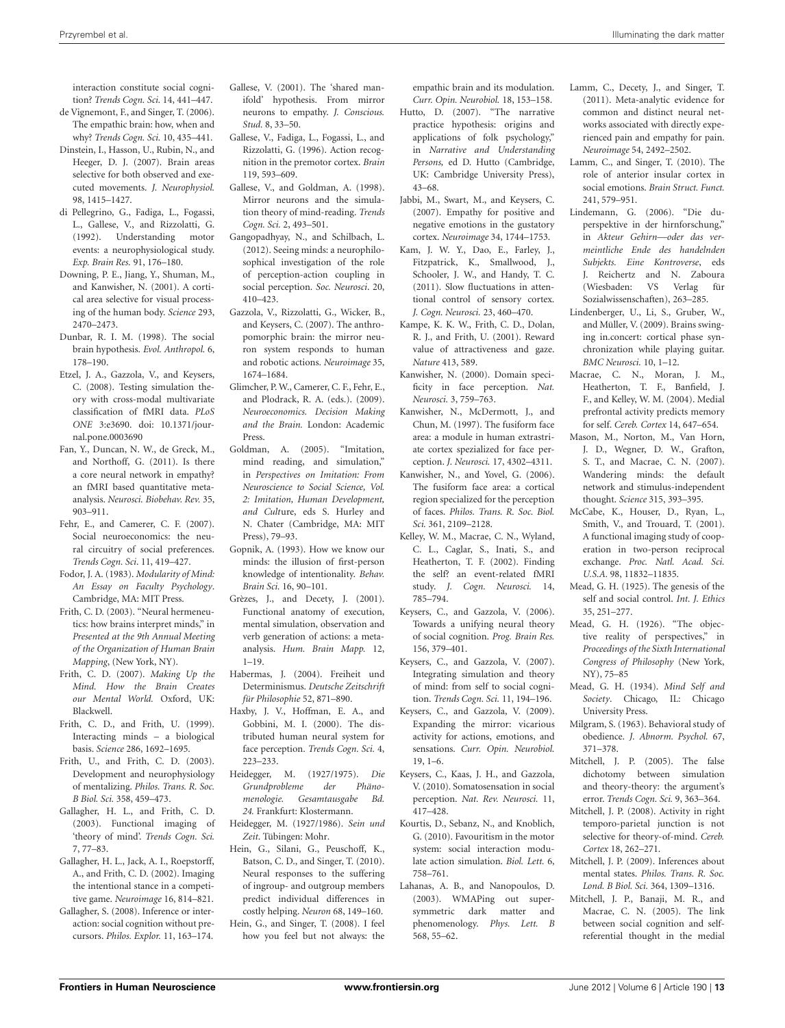interaction constitute social cognition? *Trends Cogn. Sci.* 14, 441–447.

- <span id="page-12-30"></span>de Vignemont, F., and Singer, T. (2006). The empathic brain: how, when and why? *Trends Cogn. Sci.* 10, 435–441.
- <span id="page-12-25"></span>Dinstein, I., Hasson, U., Rubin, N., and Heeger, D. J. (2007). Brain areas selective for both observed and executed movements. *J. Neurophysiol.* 98, 1415–1427.
- <span id="page-12-23"></span>di Pellegrino, G., Fadiga, L., Fogassi, L., Gallese, V., and Rizzolatti, G. (1992). Understanding motor events: a neurophysiological study. *Exp. Brain Res.* 91, 176–180.
- <span id="page-12-3"></span>Downing, P. E., Jiang, Y., Shuman, M., and Kanwisher, N. (2001). A cortical area selective for visual processing of the human body. *Science* 293, 2470–2473.
- <span id="page-12-58"></span>Dunbar, R. I. M. (1998). The social brain hypothesis. *Evol. Anthropol.* 6, 178–190.
- <span id="page-12-27"></span>Etzel, J. A., Gazzola, V., and Keysers, C. (2008). Testing simulation theory with cross-modal multivariate classification of fMRI data. *PLoS ONE* 3:e3690. doi: 10.1371/journal.pone.0003690
- <span id="page-12-34"></span>Fan, Y., Duncan, N. W., de Greck, M., and Northoff, G. (2011). Is there a core neural network in empathy? an fMRI based quantitative metaanalysis. *Neurosci. Biobehav. Rev.* 35, 903–911.
- <span id="page-12-51"></span>Fehr, E., and Camerer, C. F. (2007). Social neuroeconomics: the neural circuitry of social preferences. *Trends Cogn. Sci*. 11, 419–427.
- <span id="page-12-0"></span>Fodor, J. A. (1983). *Modularity of Mind: An Essay on Faculty Psychology*. Cambridge, MA: MIT Press.
- <span id="page-12-21"></span>Frith, C. D. (2003). "Neural hermeneutics: how brains interpret minds," in *Presented at the 9th Annual Meeting of the Organization of Human Brain Mapping*, (New York, NY).
- <span id="page-12-43"></span>Frith, C. D. (2007). *Making Up the Mind. How the Brain Creates our Mental World.* Oxford, UK: Blackwell.
- <span id="page-12-36"></span>Frith, C. D., and Frith, U. (1999). Interacting minds – a biological basis. *Science* 286, 1692–1695.
- <span id="page-12-37"></span>Frith, U., and Frith, C. D. (2003). Development and neurophysiology of mentalizing. *Philos. Trans. R. Soc. B Biol. Sci.* 358, 459–473.
- <span id="page-12-38"></span>Gallagher, H. L., and Frith, C. D. (2003). Functional imaging of 'theory of mind'. *Trends Cogn. Sci.* 7, 77–83.
- <span id="page-12-53"></span>Gallagher, H. L., Jack, A. I., Roepstorff, A., and Frith, C. D. (2002). Imaging the intentional stance in a competitive game. *Neuroimage* 16, 814–821.
- <span id="page-12-18"></span>Gallagher, S. (2008). Inference or interaction: social cognition without precursors. *Philos. Explor.* 11, 163–174.
- <span id="page-12-29"></span>Gallese, V. (2001). The 'shared manifold' hypothesis. From mirror neurons to empathy. *J. Conscious. Stud.* 8, 33–50.
- <span id="page-12-24"></span>Gallese, V., Fadiga, L., Fogassi, L., and Rizzolatti, G. (1996). Action recognition in the premotor cortex. *Brain* 119, 593–609.
- <span id="page-12-14"></span>Gallese, V., and Goldman, A. (1998). Mirror neurons and the simulation theory of mind-reading. *Trends Cogn. Sci.* 2, 493–501.
- <span id="page-12-19"></span>Gangopadhyay, N., and Schilbach, L. (2012). Seeing minds: a neurophilosophical investigation of the role of perception-action coupling in social perception. *Soc. Neurosci*. 20, 410–423.
- <span id="page-12-26"></span>Gazzola, V., Rizzolatti, G., Wicker, B., and Keysers, C. (2007). The anthropomorphic brain: the mirror neuron system responds to human and robotic actions. *Neuroimage* 35, 1674–1684.
- <span id="page-12-52"></span>Glimcher, P. W., Camerer, C. F., Fehr, E., and Plodrack, R. A. (eds.). (2009). *Neuroeconomics. Decision Making and the Brain.* London: Academic Press.
- <span id="page-12-17"></span>Goldman, A. (2005). "Imitation, mind reading, and simulation," in *Perspectives on Imitation: From Neuroscience to Social Science, Vol. 2: Imitation, Human Development, and Cult*ure, eds S. Hurley and N. Chater (Cambridge, MA: MIT Press), 79–93.
- <span id="page-12-16"></span>Gopnik, A. (1993). How we know our minds: the illusion of first-person knowledge of intentionality. *Behav. Brain Sci.* 16, 90–101.
- <span id="page-12-28"></span>Grèzes, J., and Decety, J. (2001). Functional anatomy of execution, mental simulation, observation and verb generation of actions: a metaanalysis. *Hum. Brain Mapp.* 12,  $1 - 19$ .
- <span id="page-12-12"></span>Habermas, J. (2004). Freiheit und Determinismus. *Deutsche Zeitschrift für Philosophie* 52, 871–890.
- <span id="page-12-4"></span>Haxby, J. V., Hoffman, E. A., and Gobbini, M. I. (2000). The distributed human neural system for face perception. *Trends Cogn. Sci.* 4, 223–233.
- <span id="page-12-7"></span>Heidegger, M. (1927/1975). *Die Grundprobleme der Phänomenologie. Gesamtausgabe Bd. 24.* Frankfurt: Klostermann.
- <span id="page-12-8"></span>Heidegger, M. (1927/1986). *Sein und Zeit*. Tübingen: Mohr.
- <span id="page-12-55"></span>Hein, G., Silani, G., Peuschoff, K., Batson, C. D., and Singer, T. (2010). Neural responses to the suffering of ingroup- and outgroup members predict individual differences in costly helping. *Neuron* 68, 149–160.
- <span id="page-12-48"></span>Hein, G., and Singer, T. (2008). I feel how you feel but not always: the

empathic brain and its modulation. *Curr. Opin. Neurobiol.* 18, 153–158.

- <span id="page-12-20"></span>Hutto, D. (2007). "The narrative practice hypothesis: origins and applications of folk psychology," in *Narrative and Understanding Persons,* ed D. Hutto (Cambridge, UK: Cambridge University Press), 43–68.
- <span id="page-12-47"></span>Jabbi, M., Swart, M., and Keysers, C. (2007). Empathy for positive and negative emotions in the gustatory cortex. *Neuroimage* 34, 1744–1753.
- <span id="page-12-22"></span>Kam, J. W. Y., Dao, E., Farley, J., Fitzpatrick, K., Smallwood, J., Schooler, J. W., and Handy, T. C. (2011). Slow fluctuations in attentional control of sensory cortex. *J. Cogn. Neurosci.* 23, 460–470.
- <span id="page-12-54"></span>Kampe, K. K. W., Frith, C. D., Dolan, R. J., and Frith, U. (2001). Reward value of attractiveness and gaze. *Nature* 413, 589.
- <span id="page-12-2"></span>Kanwisher, N. (2000). Domain specificity in face perception. *Nat. Neurosci.* 3, 759–763.
- <span id="page-12-1"></span>Kanwisher, N., McDermott, J., and Chun, M. (1997). The fusiform face area: a module in human extrastriate cortex spezialized for face perception. *J. Neurosci.* 17, 4302–4311.
- <span id="page-12-44"></span>Kanwisher, N., and Yovel, G. (2006). The fusiform face area: a cortical region specialized for the perception of faces. *Philos. Trans. R. Soc. Biol. Sci.* 361, 2109–2128.
- <span id="page-12-40"></span>Kelley, W. M., Macrae, C. N., Wyland, C. L., Caglar, S., Inati, S., and Heatherton, T. F. (2002). Finding the self? an event-related fMRI study. *J. Cogn. Neurosci.* 14, 785–794.
- <span id="page-12-31"></span>Keysers, C., and Gazzola, V. (2006). Towards a unifying neural theory of social cognition. *Prog. Brain Res.* 156, 379–401.
- <span id="page-12-15"></span>Keysers, C., and Gazzola, V. (2007). Integrating simulation and theory of mind: from self to social cognition. *Trends Cogn. Sci.* 11, 194–196.
- <span id="page-12-32"></span>Keysers, C., and Gazzola, V. (2009). Expanding the mirror: vicarious activity for actions, emotions, and sensations. *Curr. Opin. Neurobiol*.  $19.1-6.$
- <span id="page-12-33"></span>Keysers, C., Kaas, J. H., and Gazzola, V. (2010). Somatosensation in social perception. *Nat. Rev. Neurosci.* 11, 417–428.
- <span id="page-12-57"></span>Kourtis, D., Sebanz, N., and Knoblich, G. (2010). Favouritism in the motor system: social interaction modulate action simulation. *Biol. Lett.* 6, 758–761.
- <span id="page-12-6"></span>Lahanas, A. B., and Nanopoulos, D. (2003). WMAPing out supersymmetric dark matter and phenomenology. *Phys. Lett. B* 568, 55–62.
- <span id="page-12-35"></span>Lamm, C., Decety, J., and Singer, T. (2011). Meta-analytic evidence for common and distinct neural networks associated with directly experienced pain and empathy for pain. *Neuroimage* 54, 2492–2502.
- <span id="page-12-45"></span>Lamm, C., and Singer, T. (2010). The role of anterior insular cortex in social emotions. *Brain Struct. Funct.* 241, 579–951.
- <span id="page-12-13"></span>Lindemann, G. (2006). "Die duperspektive in der hirnforschung," in *Akteur Gehirn—oder das vermeintliche Ende des handelnden Subjekts. Eine Kontroverse*, eds J. Reichertz and N. Zaboura (Wiesbaden: VS Verlag für Sozialwissenschaften), 263–285.
- <span id="page-12-56"></span>Lindenberger, U., Li, S., Gruber, W., and Müller, V. (2009). Brains swinging in.concert: cortical phase synchronization while playing guitar. *BMC Neurosci.* 10, 1–12.
- <span id="page-12-41"></span>Macrae, C. N., Moran, J. M., Heatherton, T. F., Banfield, J. F., and Kelley, W. M. (2004). Medial prefrontal activity predicts memory for self. *Cereb. Cortex* 14, 647–654.
- <span id="page-12-42"></span>Mason, M., Norton, M., Van Horn, J. D., Wegner, D. W., Grafton, S. T., and Macrae, C. N. (2007). Wandering minds: the default network and stimulus-independent thought. *Science* 315, 393–395.
- <span id="page-12-50"></span>McCabe, K., Houser, D., Ryan, L., Smith, V., and Trouard, T. (2001). A functional imaging study of cooperation in two-person reciprocal exchange. *Proc. Natl. Acad. Sci. U.S.A.* 98, 11832–11835.
- <span id="page-12-9"></span>Mead, G. H. (1925). The genesis of the self and social control. *Int. J. Ethics* 35, 251–277.
- <span id="page-12-10"></span>Mead, G. H. (1926). "The objective reality of perspectives," in *Proceedings of the Sixth International Congress of Philosophy* (New York, NY), 75–85
- <span id="page-12-11"></span>Mead, G. H. (1934). *Mind Self and Society*. Chicago, IL: Chicago University Press.
- <span id="page-12-59"></span>Milgram, S. (1963). Behavioral study of obedience. *J. Abnorm. Psychol.* 67, 371–378.
- <span id="page-12-49"></span>Mitchell, J. P. (2005). The false dichotomy between simulation and theory-theory: the argument's error. *Trends Cogn. Sci.* 9, 363–364.
- <span id="page-12-5"></span>Mitchell, J. P. (2008). Activity in right temporo-parietal junction is not selective for theory-of-mind. *Cereb. Cortex* 18, 262–271.
- <span id="page-12-39"></span>Mitchell, J. P. (2009). Inferences about mental states. *Philos. Trans. R. Soc. Lond. B Biol. Sci.* 364, 1309–1316.
- <span id="page-12-46"></span>Mitchell, J. P., Banaji, M. R., and Macrae, C. N. (2005). The link between social cognition and selfreferential thought in the medial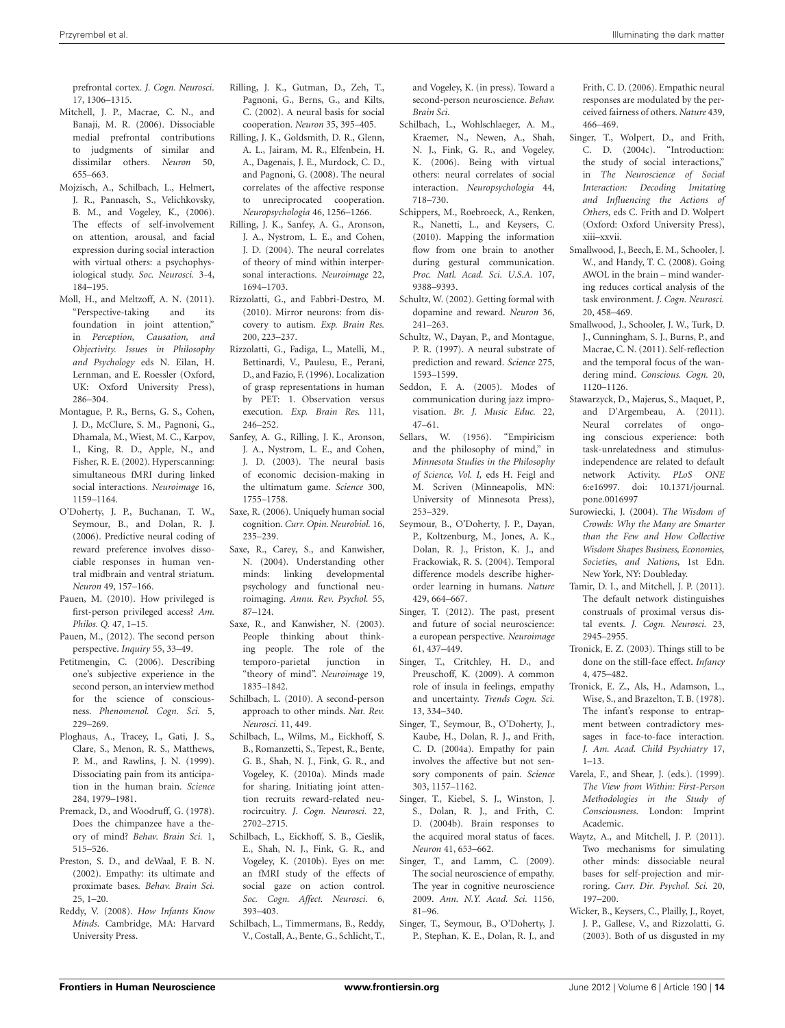prefrontal cortex. *J. Cogn. Neurosci*. 17, 1306–1315.

- <span id="page-13-22"></span>Mitchell, J. P., Macrae, C. N., and Banaji, M. R. (2006). Dissociable medial prefrontal contributions to judgments of similar and dissimilar others. *Neuron* 50, 655–663.
- <span id="page-13-12"></span>Mojzisch, A., Schilbach, L., Helmert, J. R., Pannasch, S., Velichkovsky, B. M., and Vogeley, K., (2006). The effects of self-involvement on attention, arousal, and facial expression during social interaction with virtual others: a psychophysiological study. *Soc. Neurosci.* 3-4, 184–195.
- <span id="page-13-45"></span>Moll, H., and Meltzoff, A. N. (2011). "Perspective-taking and its foundation in joint attention," in *Perception, Causation, and Objectivity. Issues in Philosophy and Psychology* eds N. Eilan, H. Lernman, and E. Roessler (Oxford, UK: Oxford University Press), 286–304.
- <span id="page-13-38"></span>Montague, P. R., Berns, G. S., Cohen, J. D., McClure, S. M., Pagnoni, G., Dhamala, M., Wiest, M. C., Karpov, I., King, R. D., Apple, N., and Fisher, R. E. (2002). Hyperscanning: simultaneous fMRI during linked social interactions. *Neuroimage* 16, 1159–1164.
- <span id="page-13-27"></span>O'Doherty, J. P., Buchanan, T. W., Seymour, B., and Dolan, R. J. (2006). Predictive neural coding of reward preference involves dissociable responses in human ventral midbrain and ventral striatum. *Neuron* 49, 157–166.
- <span id="page-13-8"></span>Pauen, M. (2010). How privileged is first-person privileged access? *Am. Philos. Q.* 47, 1–15.
- <span id="page-13-7"></span>Pauen, M., (2012). The second person perspective. *Inquiry* 55, 33–49.
- <span id="page-13-3"></span>Petitmengin, C. (2006). Describing one's subjective experience in the second person, an interview method for the science of consciousness. *Phenomenol. Cogn. Sci.* 5, 229–269.
- <span id="page-13-29"></span>Ploghaus, A., Tracey, I., Gati, J. S., Clare, S., Menon, R. S., Matthews, P. M., and Rawlins, J. N. (1999). Dissociating pain from its anticipation in the human brain. *Science* 284, 1979–1981.
- <span id="page-13-19"></span>Premack, D., and Woodruff, G. (1978). Does the chimpanzee have a theory of mind? *Behav. Brain Sci.* 1, 515–526.
- <span id="page-13-17"></span>Preston, S. D., and deWaal, F. B. N. (2002). Empathy: its ultimate and proximate bases. *Behav. Brain Sci.* 25, 1–20.
- <span id="page-13-2"></span>Reddy, V. (2008). *How Infants Know Minds*. Cambridge, MA: Harvard University Press.
- <span id="page-13-33"></span>Rilling, J. K., Gutman, D., Zeh, T., Pagnoni, G., Berns, G., and Kilts, C. (2002). A neural basis for social cooperation. *Neuron* 35, 395–405.
- <span id="page-13-35"></span>Rilling, J. K., Goldsmith, D. R., Glenn, A. L., Jairam, M. R., Elfenbein, H. A., Dagenais, J. E., Murdock, C. D., and Pagnoni, G. (2008). The neural correlates of the affective response to unreciprocated cooperation. *Neuropsychologia* 46, 1256–1266.
- <span id="page-13-34"></span>Rilling, J. K., Sanfey, A. G., Aronson, J. A., Nystrom, L. E., and Cohen, J. D. (2004). The neural correlates of theory of mind within interpersonal interactions. *Neuroimage* 22, 1694–1703.
- <span id="page-13-16"></span>Rizzolatti, G., and Fabbri-Destro, M. (2010). Mirror neurons: from discovery to autism. *Exp. Brain Res.* 200, 223–237.
- <span id="page-13-15"></span>Rizzolatti, G., Fadiga, L., Matelli, M., Bettinardi, V., Paulesu, E., Perani, D., and Fazio, F. (1996). Localization of grasp representations in human by PET: 1. Observation versus execution. *Exp. Brain Res.* 111, 246–252.
- <span id="page-13-36"></span>Sanfey, A. G., Rilling, J. K., Aronson, J. A., Nystrom, L. E., and Cohen, J. D. (2003). The neural basis of economic decision-making in the ultimatum game. *Science* 300, 1755–1758.
- <span id="page-13-21"></span>Saxe, R. (2006). Uniquely human social cognition. *Curr. Opin. Neurobiol.* 16, 235–239.
- <span id="page-13-20"></span>Saxe, R., Carey, S., and Kanwisher, N. (2004). Understanding other minds: linking developmental psychology and functional neuroimaging. *Annu. Rev. Psychol.* 55, 87–124.
- <span id="page-13-0"></span>Saxe, R., and Kanwisher, N. (2003). People thinking about thinking people. The role of the temporo-parietal junction in "theory of mind". *Neuroimage* 19, 1835–1842.
- <span id="page-13-4"></span>Schilbach, L. (2010). A second-person approach to other minds. *Nat. Rev. Neurosci.* 11, 449.
- <span id="page-13-5"></span>Schilbach, L., Wilms, M., Eickhoff, S. B., Romanzetti, S., Tepest, R., Bente, G. B., Shah, N. J., Fink, G. R., and Vogeley, K. (2010a). Minds made for sharing. Initiating joint attention recruits reward-related neurocircuitry. *J. Cogn. Neurosci.* 22, 2702–2715.
- <span id="page-13-40"></span>Schilbach, L., Eickhoff, S. B., Cieslik, E., Shah, N. J., Fink, G. R., and Vogeley, K. (2010b). Eyes on me: an fMRI study of the effects of social gaze on action control. *Soc. Cogn. Affect. Neurosci.* 6, 393–403.
- <span id="page-13-6"></span>Schilbach, L., Timmermans, B., Reddy, V., Costall, A., Bente, G., Schlicht, T.,

and Vogeley, K. (in press). Toward a second-person neuroscience. *Behav. Brain Sci.*

- <span id="page-13-11"></span>Schilbach, L., Wohlschlaeger, A. M., Kraemer, N., Newen, A., Shah, N. J., Fink, G. R., and Vogeley, K. (2006). Being with virtual others: neural correlates of social interaction. *Neuropsychologia* 44, 718–730.
- <span id="page-13-32"></span>Schippers, M., Roebroeck, A., Renken, R., Nanetti, L., and Keysers, C. (2010). Mapping the information flow from one brain to another during gestural communication. *Proc. Natl. Acad. Sci. U.S.A.* 107, 9388–9393.
- <span id="page-13-43"></span>Schultz, W. (2002). Getting formal with dopamine and reward. *Neuron* 36, 241–263.
- <span id="page-13-25"></span>Schultz, W., Dayan, P., and Montague, P. R. (1997). A neural substrate of prediction and reward. *Science* 275, 1593–1599.
- <span id="page-13-42"></span>Seddon, F. A. (2005). Modes of communication during jazz improvisation. *Br. J. Music Educ.* 22, 47–61.<br>Sellars, W.
- <span id="page-13-9"></span>(1956). "Empiricism and the philosophy of mind," in *Minnesota Studies in the Philosophy of Science, Vol. I,* eds H. Feigl and M. Scriven (Minneapolis, MN: University of Minnesota Press), 253–329.
- <span id="page-13-26"></span>Seymour, B., O'Doherty, J. P., Dayan, P., Koltzenburg, M., Jones, A. K., Dolan, R. J., Friston, K. J., and Frackowiak, R. S. (2004). Temporal difference models describe higherorder learning in humans. *Nature* 429, 664–667.
- <span id="page-13-44"></span>Singer, T. (2012). The past, present and future of social neuroscience: a european perspective. *Neuroimage* 61, 437–449.
- <span id="page-13-28"></span>Singer, T., Critchley, H. D., and Preuschoff, K. (2009). A common role of insula in feelings, empathy and uncertainty. *Trends Cogn. Sci.* 13, 334–340.
- <span id="page-13-37"></span>Singer, T., Seymour, B., O'Doherty, J., Kaube, H., Dolan, R. J., and Frith, C. D. (2004a). Empathy for pain involves the affective but not sensory components of pain. *Science* 303, 1157–1162.
- <span id="page-13-39"></span>Singer, T., Kiebel, S. J., Winston, J. S., Dolan, R. J., and Frith, C. D. (2004b). Brain responses to the acquired moral status of faces. *Neuron* 41, 653–662.
- <span id="page-13-18"></span>Singer, T., and Lamm, C. (2009). The social neuroscience of empathy. 2009. *Ann. N.Y. Acad. Sci.* 1156, 81–96. The year in cognitive neuroscience
- <span id="page-13-41"></span>Singer, T., Seymour, B., O'Doherty, J. P., Stephan, K. E., Dolan, R. J., and

Frith, C. D. (2006). Empathic neural responses are modulated by the perceived fairness of others. *Nature* 439, 466–469.

- <span id="page-13-10"></span>Singer, T., Wolpert, D., and Frith, C. D. (2004c). "Introduction: the study of social interactions," in *The Neuroscience of Social Interaction: Decoding Imitating and Influencing the Actions of Others*, eds C. Frith and D. Wolpert (Oxford: Oxford University Press), xiii–xxvii.
- <span id="page-13-13"></span>Smallwood, J., Beech, E. M., Schooler, J. W., and Handy, T. C. (2008). Going AWOL in the brain – mind wandering reduces cortical analysis of the task environment. *J. Cogn. Neurosci.* 20, 458–469.
- <span id="page-13-14"></span>Smallwood, J., Schooler, J. W., Turk, D. J., Cunningham, S. J., Burns, P., and Macrae, C. N. (2011). Self-reflection and the temporal focus of the wandering mind. *Conscious. Cogn.* 20, 1120–1126.
- <span id="page-13-24"></span>Stawarzyck, D., Majerus, S., Maquet, P., and D'Argembeau, A. (2011). Neural correlates of ongoing conscious experience: both task-unrelatedness and stimulusindependence are related to default network Activity. *PLoS ONE* 6:e16997. doi: 10.1371/journal. pone.0016997
- <span id="page-13-48"></span>Surowiecki, J. (2004). *The Wisdom of Crowds: Why the Many are Smarter than the Few and How Collective Wisdom Shapes Business, Economies, Societies, and Nations*, 1st Edn. New York, NY: Doubleday.
- <span id="page-13-23"></span>Tamir, D. I., and Mitchell, J. P. (2011). The default network distinguishes construals of proximal versus distal events. *J. Cogn. Neurosci.* 23, 2945–2955.
- <span id="page-13-47"></span>Tronick, E. Z. (2003). Things still to be done on the still-face effect. *Infancy* 4, 475–482.
- <span id="page-13-46"></span>Tronick, E. Z., Als, H., Adamson, L., Wise, S., and Brazelton, T. B. (1978). The infant's response to entrapment between contradictory messages in face-to-face interaction. *J. Am. Acad. Child Psychiatry* 17, 1–13.
- <span id="page-13-1"></span>Varela, F., and Shear, J. (eds.). (1999). *The View from Within: First-Person Methodologies in the Study of Consciousness*. London: Imprint Academic.
- <span id="page-13-30"></span>Waytz, A., and Mitchell, J. P. (2011). Two mechanisms for simulating other minds: dissociable neural bases for self-projection and mirroring. *Curr. Dir. Psychol. Sci.* 20, 197–200.
- <span id="page-13-31"></span>Wicker, B., Keysers, C., Plailly, J., Royet, J. P., Gallese, V., and Rizzolatti, G. (2003). Both of us disgusted in my